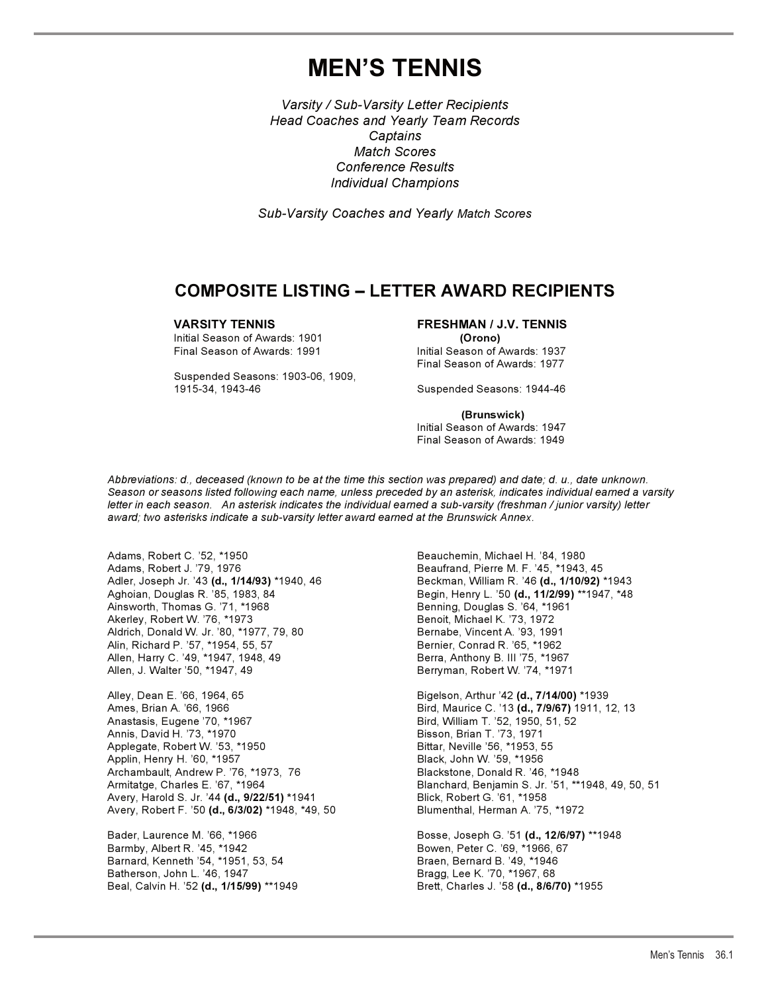# **MEN'S TENNIS**

*Varsity / Sub-Varsity Letter Recipients Head Coaches and Yearly Team Records Captains Match Scores Conference Results Individual Champions*

*Sub-Varsity Coaches and Yearly Match Scores*

## **COMPOSITE LISTING – LETTER AWARD RECIPIENTS**

Initial Season of Awards: 1901 **(Orono)**

Suspended Seasons: 1903-06, 1909, 1915-34, 1943-46 Suspended Seasons: 1944-46

### **VARSITY TENNIS FRESHMAN / J.V. TENNIS**

Initial Season of Awards: 1937 Final Season of Awards: 1977

 **(Brunswick)**  Initial Season of Awards: 1947 Final Season of Awards: 1949

*Abbreviations: d., deceased (known to be at the time this section was prepared) and date; d. u., date unknown. Season or seasons listed following each name, unless preceded by an asterisk, indicates individual earned a varsity letter in each season. An asterisk indicates the individual earned a sub-varsity (freshman / junior varsity) letter award; two asterisks indicate a sub-varsity letter award earned at the Brunswick Annex.*

Adams, Robert C. '52, \*1950 Beauchemin, Michael H. '84, 1980 Adams, Robert J. '79, 1976<br>Adler, Joseph Jr. '43 **(d., 1/14/93)** \*1940, 46 Beckman, William R. '46 **(d., 1/10/92)** ' Aghoian, Douglas R. <sup>'85</sup>, 1983, 84 Begin, Henry L. '50 **(d., 11/2/99)** \*\*1947, \*48<br>Ainsworth, Thomas G. '71, \*1968 Benning, Douglas S. '64, \*1961 Ainsworth, Thomas G. '71, \*1968 Benning, Douglas S. '64, \*1961 Akerley, Robert W. '76, \*1973 Aldrich, Donald W. Jr. '80, \*1977, 79, 80 Bernabe, Vincent A. '93, 1991 Alin, Richard P. '57, \*1954, 55, 57 Bernier, Conrad R. '65, \*1962 Allen, Harry C. '49, \*1947, 1948, 49 Berra, Anthony B. III '75, \*1967 Allen, J. Walter '50, \*1947, 49 Berryman, Robert W. '74, \*1971

Alley, Dean E. '66, 1964, 65 Bigelson, Arthur '42 **(d., 7/14/00)** \*1939 Ames, Brian A. '66, 1966 Bird, Maurice C. '13 **(d., 7/9/67)** 1911, 12, 13 Anastasis, Eugene '70, \*1967 Bird, William T. '52, 1950, 51, 52 Annis, David H. '73, \*1970 Applegate, Robert W. '53, \*1950 **Bittar, Neville '56, \*1953, 55** Applin, Henry H. '60, \*1957 Black, John W. '59, \*1956 Archambault, Andrew P. '76, \*1973, 76<br>Armitatge, Charles E. '67, \*1964 Avery, Harold S. Jr. '44 **(d., 9/22/51) \***1941 Blick, Robert G. '61, \*1958 Avery, Robert F. '50 **(d., 6/3/02)** \*1948, \*49, 50 Blumenthal, Herman A. '75, \*1972

Bader, Laurence M. '66, \*1966 Bosse, Joseph G. '51 **(d., 12/6/97)** \*\*1948 Barnard, Kenneth '54, \*1951, 53, 54 Braen, Bernard B. '49, \*1946 Batherson, John L. '46, 1947 Bragg, Lee K. '70, \*1967, 68 Beal, Calvin H. '52 **(d., 1/15/99)** \*\*1949 Brett, Charles J. '58 **(d., 8/6/70)** \*1955

Adler, Joseph Jr. '43 **(d., 1/14/93)** \*1940, 46 Beckman, William R. '46 **(d., 1/10/92)** \*1943

Blanchard, Benjamin S. Jr. '51, \*\*1948, 49, 50, 51

Bowen, Peter C. '69, \*1966, 67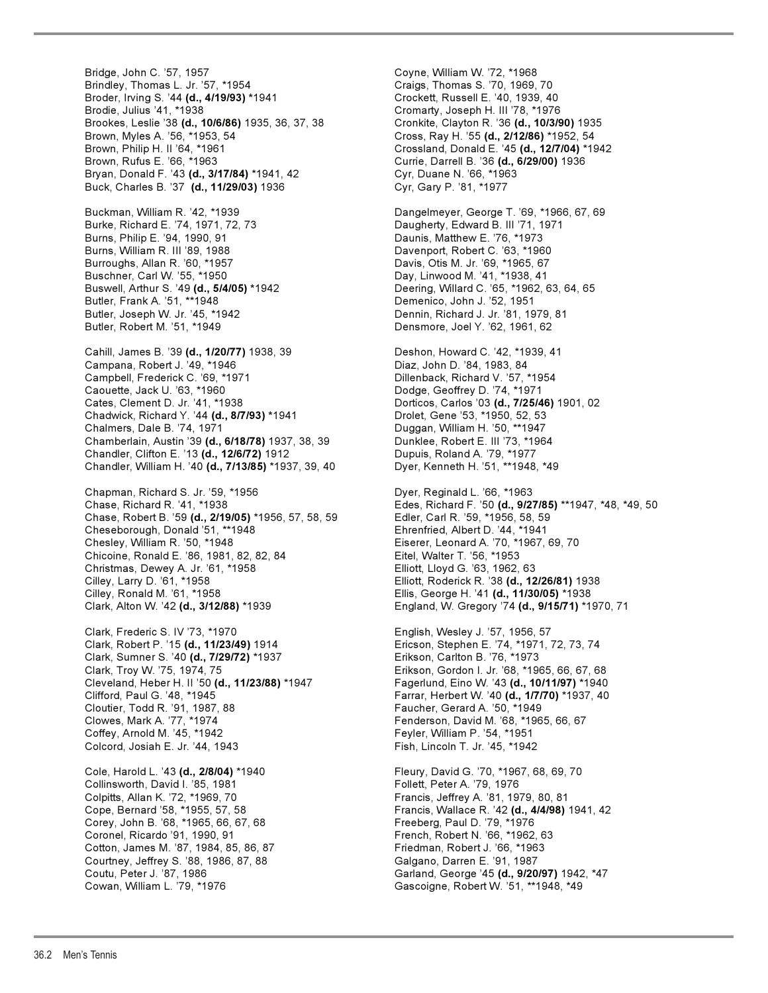Bridge, John C. '57, 1957 Coyne, William W. '72, \*1968 Brindley, Thomas L. Jr. '57, \*1954 Craigs, Thomas S. '70, 1969, 70 Broder, Irving S. '44 **(d., 4/19/93) \***1941 Crockett, Russell E. '40, 1939, 40 Brodie, Julius '41, \*1938<br>Brookes, Leslie '38 **(d., 10/6/86)** 1935, 36, 37, 38 Cronkite, Clayton R. '36 **(d., 10/3/90)** 1935 Brookes, Leslie '38 (d., 10/6/86) 1935, 36, 37, 38 Brown, Myles A. '56, \*1953, 54 Cross, Ray H. '55 **(d., 2/12/86)** \*1952, 54 Brown, Philip H. II '64, \*1961 Crossland, Donald E. '45 **(d., 12/7/04)** \*1942 Brown, Rufus E. '66, \*1963 Currie, Darrell B. '36 **(d., 6/29/00)** 1936 Bryan, Donald F. '43 **(d., 3/17/84)** \*1941, 42 Cyr, Duane N. '66, \*1963 Buck, Charles B. '37 **(d., 11/29/03)** 1936 Cyr, Gary P. '81, \*1977 Buckman, William R. '42, \*1939 **Dangelmeyer, George T. '69, \*1966, 67, 69** Burke, Richard E. '74, 1971, 72, 73 Daugherty, Edward B. III '71, 1971 Burns, Philip E. '94, 1990, 91 **Daunis, Matthew E. '76, \*1973** Burns, William R. III '89, 1988 **Davenport, Robert C. '63, \*1960** Burroughs, Allan R. '60, \*1957 Davis, Otis M. Jr. '69, \*1965, 67 Buschner, Carl W. '55, \*1950 **Day, Linwood M. '41, \*1938, 41** Buswell, Arthur S. '49 **(d., 5/4/05) \***1942 Deering, Willard C. '65, \*1962, 63, 64, 65 Butler, Frank A. '51, \*\*1948 Demenico, John J. '52, 1951 Butler, Joseph W. Jr. '45, \*1942 Dennin, Richard J. Jr. '81, 1979, 81 Butler, Robert M. '51, \*1949 Densmore, Joel Y. '62, 1961, 62 Cahill, James B. '39 **(d., 1/20/77)** 1938, 39 Deshon, Howard C. '42, \*1939, 41 Campana, Robert J. '49, \*1946 Diaz, John D. '84, 1983, 84 Campbell, Frederick C. '69, \*1971 Dillenback, Richard V. '57, \*1954 Caouette, Jack U. '63, \*1960 Dodge, Geoffrey D. '74, \*1971 Cates, Clement D. Jr. '41, \*1938 Dorticos, Carlos '03 **(d., 7/25/46)** 1901, 02 Chadwick, Richard Y. '44 **(d., 8/7/93) \***1941 Drolet, Gene '53, \*1950, 52, 53 Chalmers, Dale B. '74, 1971<br>Chamberlain, Austin '39 **(d., 6/18/78)** 1937, 38, 39 Dunklee, Robert E. III '73, \*1964 Chamberlain, Austin '39 (d., 6/18/78) 1937, 38, 39 Chandler, Clifton E. '13 **(d., 12/6/72)** 1912 Dupuis, Roland A. '79, \*1977 Chandler, William H. '40 **(d., 7/13/85)** \*1937, 39, 40 Chapman, Richard S. Jr. '59, \*1956 **Dyer, Reginald L. '66, \*1963** Chase, Richard R. '41, \*1938 Edes, Richard F. '50 **(d., 9/27/85)** \*\*1947, \*48, \*49, 50 Chase, Robert B. '59 (d., 2/19/05) \*1956, 57, 58, 59 Cheseborough, Donald '51, \*\*1948 Ehrenfried, Albert D. '44, \*1941 Chicoine, Ronald E. '86, 1981, 82, 82, 84 Eitel, Walter T. '56, \*1953 Christmas, Dewey A. Jr. '61, \*1958 Elliott, Lloyd G. '63, 1962, 63 Cilley, Ronald M. '61, \*1958 Ellis, George H. '41 **(d., 11/30/05)** \*1938 Clark, Frederic S. IV '73, \*1970 English, Wesley J. '57, 1956, 57 Clark, Robert P. '15 **(d., 11/23/49)** 1914 Ericson, Stephen E. '74, \*1971, 72, 73, 74 Clark, Sumner S. '40 **(d., 7/29/72)** \*1937 Erikson, Carlton B. '76, \*1973 Clark, Troy W. '75, 1974, 75 Erikson, Gordon I. Jr. '68, \*1965, 66, 67, 68 Cleveland, Heber H. II '50 **(d., 11/23/88)** \*1947 Fagerlund, Eino W. '43 **(d., 10/11/97)** \*1940 Clifford, Paul G. '48, \*1945 Farrar, Herbert W. '40 **(d., 1/7/70)** \*1937, 40 Cloutier, Todd R. '91, 1987, 88 Faucher, Gerard A. '50, \*1949 Clowes, Mark A. '77, \*1974 Fenderson, David M. '68, \*1965, 66, 67 Coffey, Arnold M. '45, \*1942 **Feyler, William P. '54, \*1951** Colcord, Josiah E. Jr. '44, 1943 Fish, Lincoln T. Jr. '45, \*1942 Cole, Harold L. '43 **(d., 2/8/04)** \*1940 Fleury, David G. '70, \*1967, 68, 69, 70<br>Collinsworth, David I. '85, 1981 **Frankling** Follett, Peter A. '79, 1976 Collinsworth, David I. '85, 1981 Colpitts, Allan K. '72, \*1969, 70 Francis, Jeffrey A. '81, 1979, 80, 81 Cope, Bernard '58, \*1955, 57, 58 Francis, Wallace R. '42 **(d., 4/4/98)** 1941, 42 Corey, John B. '68, \*1965, 66, 67, 68 Freeberg, Paul D. '79, \*1976 Coronel, Ricardo '91, 1990, 91 French, Robert N. '66, \*1962, 63 Cotton, James M. '87, 1984, 85, 86, 87 Friedman, Robert J. '66, \*1963<br>Courtney, Jeffrey S. '88, 1986, 87, 88 Friedman, Darren E. '91, 1987 Courtney, Jeffrey S. '88, 1986, 87, 88<br>Coutu, Peter J. '87, 1986 Cowan, William L. '79, \*1976 Gascoigne, Robert W. '51, \*\*1948, \*49

Eiserer, Leonard A. '70, \*1967, 69, 70 Cilley, Larry D. '61, \*1958 Elliott, Roderick R. '38 **(d., 12/26/81)** 1938 Clark, Alton W. '42 **(d., 3/12/88)** \*1939 England, W. Gregory '74 **(d., 9/15/71)** \*1970, 71 Garland, George '45 (d., 9/20/97) 1942, \*47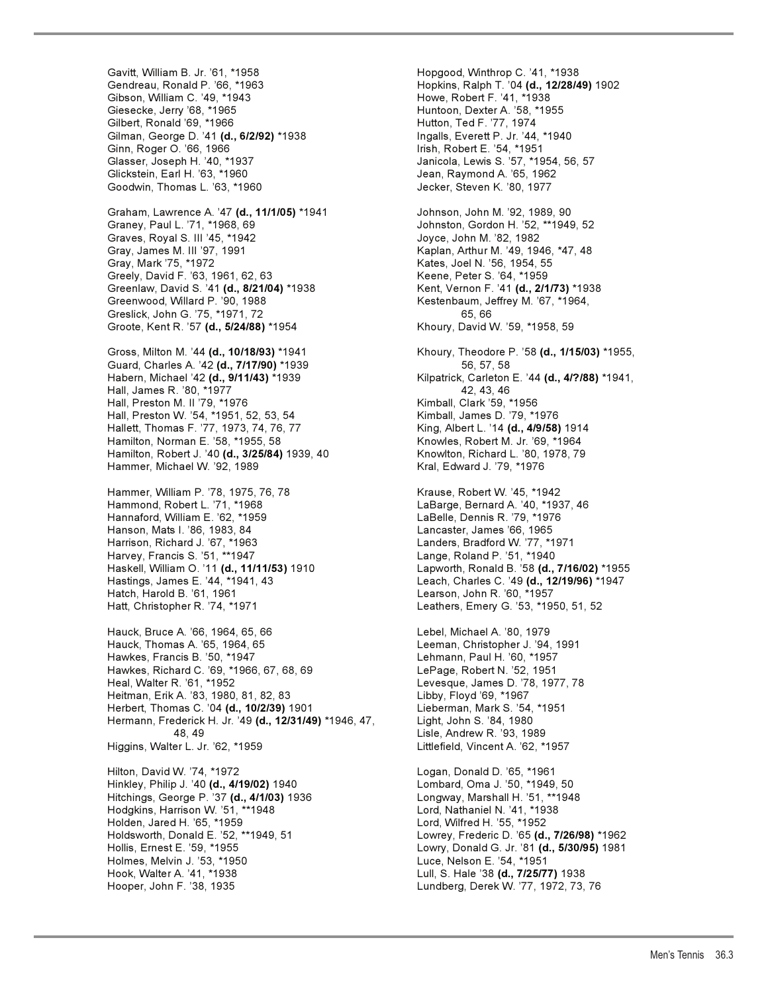Gavitt, William B. Jr. '61, \*1958 **Hopgood, Winthrop C. '41, \*1938** Gendreau, Ronald P. '66, \*1963 Hopkins, Ralph T. '04 **(d., 12/28/49)** 1902 Gibson, William C. '49, \*1943<br>Giesecke, Jerry '68, \*1965 Giesecke, Jerry '68, \*1965 Huntoon, Dexter A. '58, \*1955 Gilman, George D. '41 **(d., 6/2/92)** \*1938 Ingalls, Everett P. Jr. '44, \*1940 Ginn, Roger O. '66, 1966 **I. I. S. E. S. E. S. E. S. E. S. E. S. E. S. E. S. E. S. E. S. E. S. E. S. E. S. E. S** Glasser, Joseph H. '40, \*1937 Janicola, Lewis S. '57, \*1954, 56, 57 Glickstein, Earl H. '63, \*1960 Jean, Raymond A. '65, 1962 Goodwin, Thomas L. '63, \*1960 Jecker, Steven K. '80, 1977

Graham, Lawrence A. '47 **(d., 11/1/05)** \*1941 Johnson, John M. '92, 1989, 90 Graney, Paul L. '71, \*1968, 69 Johnston, Gordon H. '52, \*\*1949, 52 Graves, Royal S. III '45, \*1942 **Joyce, John M. '82, 1982** Gray, James M. III '97, 1991 Kaplan, Arthur M. '49, 1946, \*47, 48 Greely, David F. '63, 1961, 62, 63 Keene, Peter S. '64, \*1959 Greenlaw, David S. '41 **(d., 8/21/04)** \*1938 Kent, Vernon F. '41 **(d., 2/1/73)** \*1938 Greenwood, Willard P. '90, 1988 Kestenbaum, Jeffrey M. '67, \*1964, Greslick, John G. '75, \*1971, 72 65, 66 Groote, Kent R. '57 (d., 5/24/88) \*1954

Guard, Charles A. '42 (d., 7/17/90) \*1939 Habern, Michael '42 **(d., 9/11/43)** \*1939 Kilpatrick, Carleton E. '44 **(d., 4/?/88)** \*1941, Hall, James R. '80, \*1977 42, 43, 46 Hall, Preston M. II '79, \*1976 Kimball, Clark '59, \*1956<br>Hall, Preston W. '54, \*1951, 52, 53, 54 Kimball, James D. '79, \*1976 Hall, Preston W. '54, \*1951, 52, 53, 54 Hallett, Thomas F. '77, 1973, 74, 76, 77 King, Albert L. '14 **(d., 4/9/58)** 1914 Hamilton, Norman E. '58, \*1955, 58 Knowles, Robert M. Jr. '69, \*1964 Hamilton, Robert J. '40 **(d., 3/25/84)** 1939, 40 Knowlton, Richard L. '80, 1978, 79 Hammer, Michael W. '92, 1989 Kral, Edward J. '79, \*1976

Hammer, William P. '78, 1975, 76, 78 Krause, Robert W. '45, \*1942 Hammond, Robert L. '71, \*1968 LaBarge, Bernard A. '40, \*1937, 46 Hannaford, William E. '62, \*1959 Hanson, Mats I. '86, 1983, 84 Lancaster, James '66, 1965 Harrison, Richard J. '67, \*1963 Landers, Bradford W. '77, \*1971 Harvey, Francis S. '51, \*\*1947 Lange, Roland P. '51, \*1940 Hatch, Harold B. '61, 1961 Learson, John R. '60, \*1957 Hatt, Christopher R. '74, \*1971 Leathers, Emery G. '53, \*1950, 51, 52

Hauck, Bruce A. '66, 1964, 65, 66 Lebel, Michael A. '80, 1979 Hauck, Thomas A. '65, 1964, 65 Leeman, Christopher J. '94, 1991 Hawkes, Francis B. '50, \*1947 Lehmann, Paul H. '60, \*1957 Hawkes, Richard C. '69, \*1966, 67, 68, 69 LePage, Robert N. '52, 1951 Heal, Walter R. '61, \*1952 Levesque, James D. '78, 1977, 78 Heitman, Erik A. '83, 1980, 81, 82, 83 Libby, Floyd '69, \*1967 Herbert, Thomas C. '04 **(d., 10/2/39)** 1901 Lieberman, Mark S. '54, \*1951 Hermann, Frederick H. Jr. '49 **(d., 12/31/49)** \*1946, 47, Light, John S. '84, 1980 48, 49 Lisle, Andrew R. '93, 1989 Higgins, Walter L. Jr. '62, \*1959 Littlefield, Vincent A. '62, \*1957 Hilton, David W. '74, \*1972 Logan, Donald D. '65, \*1961 Hinkley, Philip J. '40 (d., 4/19/02) 1940 Hitchings, George P. '37 **(d., 4/1/03)** 1936 Longway, Marshall H. '51, \*\*1948 Hodgkins, Harrison W. '51, \*\*1948 Lord, Nathaniel N. '41, \*1938 Holden, Jared H. '65, \*1959<br>Holdsworth, Donald E. '52, \*\*1949, 51 Lowrey, Frederic D. '65 **(d.** Hollis, Ernest E. '59, \*1955 Lowry, Donald G. Jr. '81 **(d., 5/30/95)** 1981 Holmes, Melvin J. '53, \*1950 Luce, Nelson E. '54, \*1951 Hook, Walter A. '41, \*1938 Lull, S. Hale '38 **(d., 7/25/77)** 1938

Hutton, Ted F. '77, 1974 Kates, Joel N. '56, 1954, 55 Gross, Milton M. '44 **(d., 10/18/93)** \*1941 Khoury, Theodore P. '58 **(d., 1/15/03)** \*1955, Haskell, William O. '11 **(d., 11/11/53)** 1910 Lapworth, Ronald B. '58 **(d., 7/16/02)** \*1955 Leach, Charles C. '49 (d., 12/19/96) \*1947 Lowrey, Frederic D. '65 (d., 7/26/98) \*1962 Hooper, John F. '38, 1935 Lundberg, Derek W. '77, 1972, 73, 76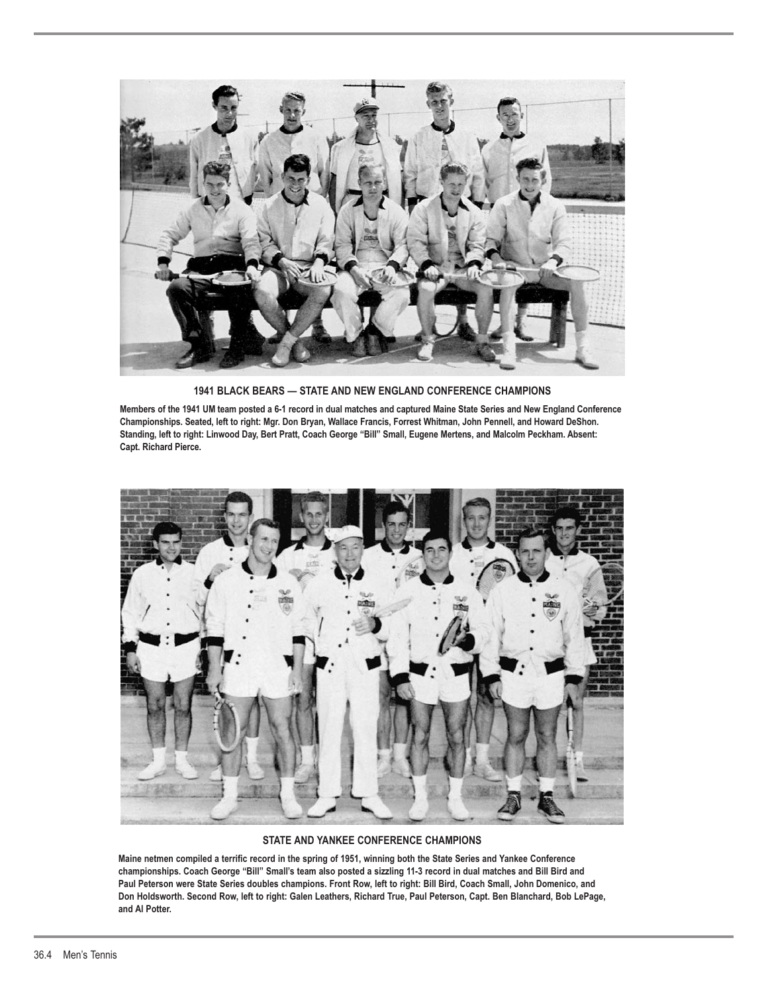

**1941 BLACK BEARS — STATE AND NEW ENGLAND CONFERENCE CHAMPIONS**

**Members of the 1941 UM team posted a 6-1 record in dual matches and captured Maine State Series and New England Conference Championships. Seated, left to right: Mgr. Don Bryan, Wallace Francis, Forrest Whitman, John Pennell, and Howard DeShon. Standing, left to right: Linwood Day, Bert Pratt, Coach George "Bill" Small, Eugene Mertens, and Malcolm Peckham. Absent: Capt. Richard Pierce.**



### **STATE AND YANKEE CONFERENCE CHAMPIONS**

**Maine netmen compiled a terrific record in the spring of 1951, winning both the State Series and Yankee Conference championships. Coach George "Bill" Small's team also posted a sizzling 11-3 record in dual matches and Bill Bird and Paul Peterson were State Series doubles champions. Front Row, left to right: Bill Bird, Coach Small, John Domenico, and Don Holdsworth. Second Row, left to right: Galen Leathers, Richard True, Paul Peterson, Capt. Ben Blanchard, Bob LePage, and Al Potter.**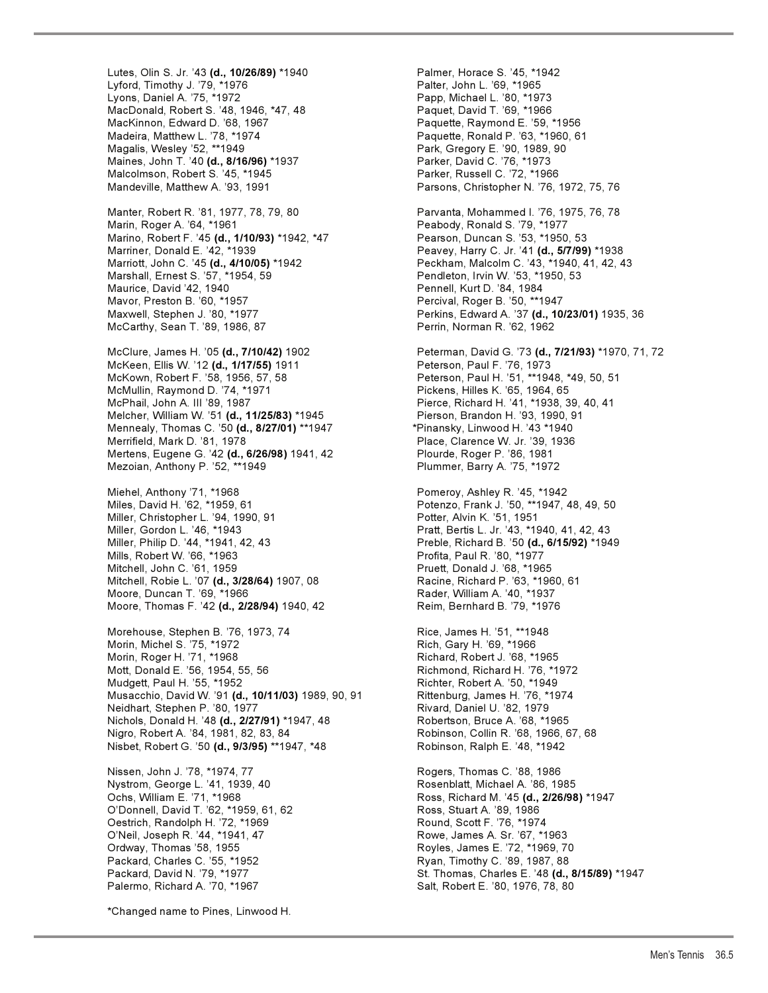Lyford, Timothy J. '79, \*1976 Palter, John L. '69, \*1965<br>Lyons, Daniel A. '75, \*1972 Papp, Michael L. '80, \*197 MacDonald, Robert S. '48, 1946, \*47, 48 Paquet, David T. '69, \*1966 MacKinnon, Edward D. '68, 1967 Madeira, Matthew L. '78, \*1974 **Paquette, Ronald P. '63, \*1960, 61** Magalis, Wesley '52, \*\*1949 Park, Gregory E. '90, 1989, 90 Maines, John T. '40 **(d., 8/16/96)** \*1937 Parker, David C. '76, \*1973 Malcolmson, Robert S. '45, \*1945 Parker, Russell C. '72, \*1966 Mandeville, Matthew A. '93, 1991 **Parsons, Christopher N. '76, 1972, 75, 76** Manter, Robert R. '81, 1977, 78, 79, 80 Parvanta, Mohammed I. '76, 1975, 76, 78 Marin, Roger A. '64, \*1961 **Peabody, Ronald S. '79, \*1977** 

Marino, Robert F. '45 **(d., 1/10/93)** \*1942, \*47 Pearson, Duncan S. '53, \*1950, 53 Marriner, Donald E. '42, \*1939 Peavey, Harry C. Jr. '41 **(d., 5/7/99)** \*1938 Maurice, David '42, 1940 **Pennell, Kurt D. '84, 1984** Mavor, Preston B. '60, \*1957 Percival, Roger B. '50, \*\*1947 McCarthy, Sean T. '89, 1986, 87 Perrin, Norman R. '62, 1962

McKeen, Ellis W. '12 (d., 1/17/55) 1911 McKown, Robert F. '58, 1956, 57, 58 Peterson, Paul H. '51, \*\*1948, \*49, 50, 51 McMullin, Raymond D. '74, \*1971 Pickens, Hilles K. '65, 1964, 65 McPhail, John A. III '89, 1987 Pierce, Richard H. '41, \*1938, 39, 40, 41 Melcher, William W. '51 **(d., 11/25/83)** \*1945 Pierson, Brandon H. '93, 1990, 91 Mennealy, Thomas C. '50 **(d., 8/27/01)** \*\*1947 \*Pinansky, Linwood H. '43 \*1940 Mertens, Eugene G. '42 (d., 6/26/98) 1941, 42 Plourde, Roger P. '86, 1981 Mezoian, Anthony P. '52, \*\*1949 Plummer, Barry A. '75, \*1972

Miehel, Anthony '71, \*1968 Pomeroy, Ashley R. '45, \*1942 Miles, David H. '62, \*1959, 61 Potenzo, Frank J. '50, \*\*1947, 48, 49, 50 Miller, Christopher L. '94, 1990, 91 Miller, Gordon L. '46, \*1943<br>Miller, Philip D. '44, \*1941, 42, 43 **Pratt, Bertis L. Jr. '43, \*1940, 41, 42, 43** Mills, Robert W. '66, \*1963 Profita, Paul R. '80, \*1977 Mitchell, John C. '61, 1959 Pruett, Donald J. '68, \*1965 Mitchell, Robie L. '07 **(d., 3/28/64)** 1907, 08 Racine, Richard P. '63, \*1960, 61 Moore, Duncan T. '69, \*1966<br>Moore, Thomas F. '42 **(d., 2/28/94)** 1940, 42 Reim, Bernhard B. '79, \*1976 Moore, Thomas F. '42 (d., 2/28/94) 1940, 42

Morehouse, Stephen B. '76, 1973, 74 Rice, James H. '51, \*\*1948 Morin, Michel S. '75, \*1972 Rich, Gary H. '69, \*1966 Morin, Roger H. '71, \*1968 Richard, Robert J. '68, \*1965 Mott, Donald E. '56, 1954, 55, 56 Richmond, Richmond, Richard H. '76, \*1972<br>Mudgett, Paul H. '55, \*1952 Richter, Robert A. '50, \*1949 Musacchio, David W. '91 **(d., 10/11/03)** 1989, 90, 91 Rittenburg, James H. '76, \*1974 Neidhart, Stephen P. '80, 1977 Rivard, Daniel U. '82, 1979 Nichols, Donald H. '48 **(d., 2/27/91)** \*1947, 48 Robertson, Bruce A. '68, \*1965 Nigro, Robert A. '84, 1981, 82, 83, 84 Robinson, Collin R. '68, 1966, 67, 68 Nisbet, Robert G. '50 **(d., 9/3/95)** \*\*1947, \*48 Robinson, Ralph E. '48, \*1942

Nissen, John J. '78, \*1974, 77 Rogers, Thomas C. '88, 1986 Nystrom, George L. '41, 1939, 40 O'Donnell, David T. '62, \*1959, 61, 62 Ross, Stuart A. '89, 1986 Oestrich, Randolph H. '72, \*1969 Round, Scott F. '76, \*1974 O'Neil, Joseph R. '44, \*1941, 47 Rowe, James A. Sr. '67, \*1963 Ordway, Thomas '58, 1955 **Royles, James E. '72, \*1969, 70** Packard, Charles C. '55, \*1952 **Research Control Control Control** Ryan, Timothy C. '89, 1987, 88 Palermo, Richard A. '70, \*1967 New York Salt, Robert E. '80, 1976, 78, 80

\*Changed name to Pines, Linwood H.

Lutes, Olin S. Jr. '43 **(d., 10/26/89)** \*1940 Palmer, Horace S. '45, \*1942 Papp, Michael L. '80, \*1973 Marriott, John C. '45 **(d., 4/10/05)** \*1942 Peckham, Malcolm C. '43, \*1940, 41, 42, 43 Pendleton, Irvin W. '53, \*1950, 53 Maxwell, Stephen J. '80, \*1977 Perkins, Edward A. '37 **(d., 10/23/01)** 1935, 36 McClure, James H. '05 **(d., 7/10/42)** 1902 Peterman, David G. '73 **(d., 7/21/93)** \*1970, 71, 72 Place, Clarence W. Jr. '39, 1936 Preble, Richard B. '50 **(d., 6/15/92)** \*1949 Richter, Robert A. '50, \*1949 Ochs, William E. '71, \*1968 Ross, Richard M. '45 **(d., 2/26/98)** \*1947 Packard, David N. '79, \*1977 St. Thomas, Charles E. '48 **(d., 8/15/89)** \*1947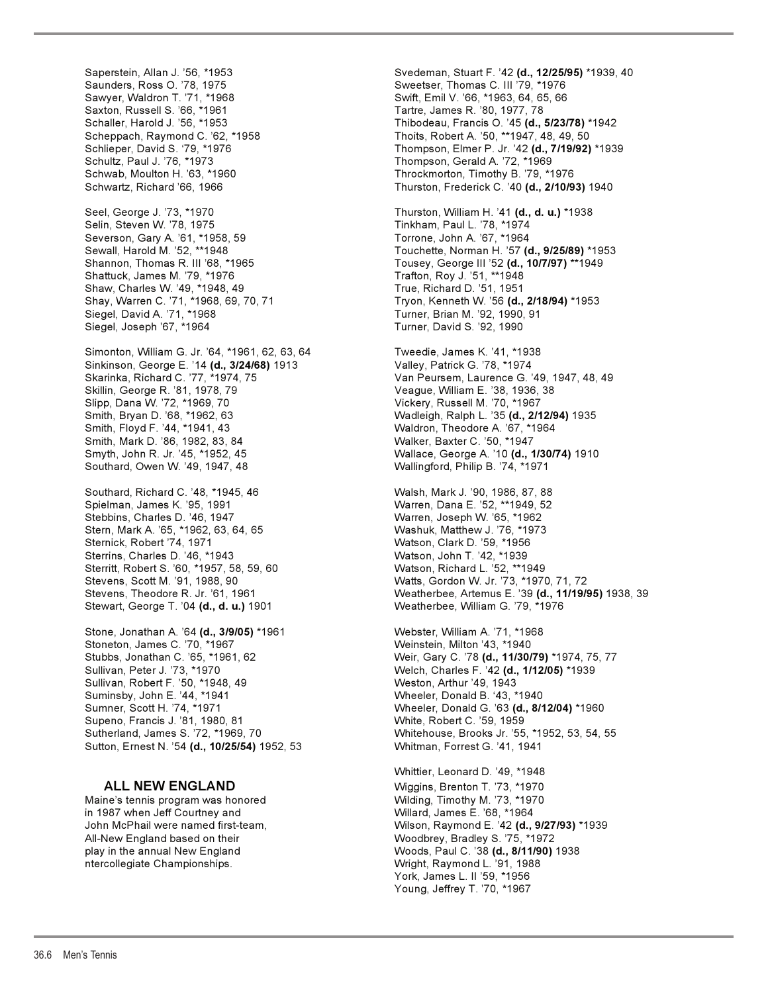Saperstein, Allan J. '56, \*1953 Svedeman, Stuart F. '42 **(d., 12/25/95)** \*1939, 40 Saunders, Ross O. '78, 1975 Sweetser, Thomas C. III '79, \*1976 Saxton, Russell S. '66, \*1961 Tartre, James R. '80, 1977, 78 Scheppach, Raymond C. '62, \*1958 Thoits, Robert A. '50, \*\*1947, 48, 49, 50 Schlieper, David S. '79, \*1976 Thompson, Elmer P. Jr. '42 **(d., 7/19/92)** \*1939 Schultz, Paul J. '76, \*1973 Thompson, Gerald A. '72, \*1969 Schwartz, Richard '66, 1966 Thurston, Frederick C. '40 **(d., 2/10/93)** 1940 Seel, George J. '73, \*1970 Thurston, William H. '41 **(d., d. u.)** \*1938 Selin, Steven W. '78, 1975 Tinkham, Paul L. '78, \*1974 Severson, Gary A. '61, \*1958, 59 Torrone, John A. '67, \*1964 Sewall, Harold M. '52, \*\*1948 Touchette, Norman H. '57 **(d., 9/25/89)** \*1953 Shattuck, James M. '79, \*1976 Trafton, Roy J. '51, \*\*1948 Shaw, Charles W. '49, \*1948, 49 Shay, Warren C. '71, \*1968, 69, 70, 71 Tryon, Kenneth W. '56 **(d., 2/18/94)** \*1953 Siegel, David A. '71, \*1968 Turner, Brian M. '92, 1990, 91 Siegel, Joseph '67, \*1964 **Turner, David S. '92, 1990** Simonton, William G. Jr. '64, \*1961, 62, 63, 64 Tweedie, James K. '41, \*1938 Sinkinson, George E. '14 (d., 3/24/68) 1913 Skarinka, Richard C. '77, \*1974, 75 Van Peursem, Laurence G. '49, 1947, 48, 49 Skillin, George R. '81, 1978, 79 Veague, William E. '38, 1936, 38 Slipp, Dana W. '72, \*1969, 70 Vickery, Russell M. '70, \*1967 Smith, Floyd F. '44, \*1941, 43 Waldron, Theodore A. '67, \*1964 Smith, Mark D. '86, 1982, 83, 84 Smyth, John R. Jr. '45, \*1952, 45 Wallace, George A. '10 **(d., 1/30/74)** 1910 Southard, Owen W. '49, 1947, 48 Wallingford, Philip B. '74, \*1971 Southard, Richard C. '48, \*1945, 46 Walsh, Mark J. '90, 1986, 87, 88 Spielman, James K. '95, 1991 Warren, Dana E. '52, \*\*1949, 52 Stern, Mark A. '65, \*1962, 63, 64, 65 Washuk, Matthew J. '76, \*1973 Sternick, Robert '74, 1971 Watson, Clark D. '59, \*1956 Sterrins, Charles D. '46, \*1943 Watson, John T. '42, \*1939 Sterritt, Robert S. '60, \*1957, 58, 59, 60 Watson, Richard L. '52, \*\*1949 Stevens, Theodore R. Jr. '61, 1961 Weatherbee, Artemus E. '39 **(d., 11/19/95)** 1938, 39 Stewart, George T. '04 (d., d. u.) 1901 Stone, Jonathan A. '64 **(d., 3/9/05)** \*1961 Webster, William A. '71, \*1968 Stoneton, James C. '70, \*1967 Weinstein, Milton '43, \*1940 Stubbs, Jonathan C. '65, \*1961, 62 Weir, Gary C. '78 **(d., 11/30/79)** \*1974, 75, 77 Sullivan, Robert F. '50, \*1948, 49 Suminsby, John E. '44, \*1941 Wheeler, Donald B. '43, \*1940 Sumner, Scott H. '74, \*1971 Wheeler, Donald G. '63 **(d., 8/12/04)** \*1960 Supeno, Francis J. '81, 1980, 81 White, Robert C. '59, 1959 Sutherland, James S. '72, \*1969, 70 Whitehouse, Brooks Jr. '55, \*1952, 53, 54, 55 Sutton, Ernest N. '54 **(d., 10/25/54)** 1952, 53 Whitman, Forrest G. '41, 1941

Maine's tennis program was honored Wilding, Timothy M. '73, \*1970 in 1987 when Jeff Courtney and Willard, James E. '68, \*1964<br>The McPhail were named first-team, which wilson, Raymond E. '42 **(d.,** ) All-New England based on their Woodbrey, Bradley S. '75, \*1972 ntercollegiate Championships. Wright, Raymond L. '91, 1988

Swift, Emil V. '66, \*1963, 64, 65, 66 Thibodeau, Francis O. '45 (d., 5/23/78) \*1942 Throckmorton, Timothy B. '79, \*1976

Tousey, George III '52 **(d., 10/7/97)** \*\*1949<br>Trafton, Roy J. '51, \*\*1948

Wadleigh, Ralph L. '35 (d., 2/12/94) 1935

Warren, Joseph W. '65, \*1962 Watts, Gordon W. Jr. '73, \*1970, 71, 72

Welch, Charles F. '42 **(d., 1/12/05)** \*1939<br>Weston, Arthur '49, 1943

Whittier, Leonard D. '49, \*1948 **ALL NEW ENGLAND** Wiggins, Brenton T. '73, \*1970 Wilson, Raymond E. '42 **(d., 9/27/93)** \*1939 play in the annual New England Woods, Paul C. '38 **(d., 8/11/90)** 1938 York, James L. II '59, \*1956 Young, Jeffrey T. '70, \*1967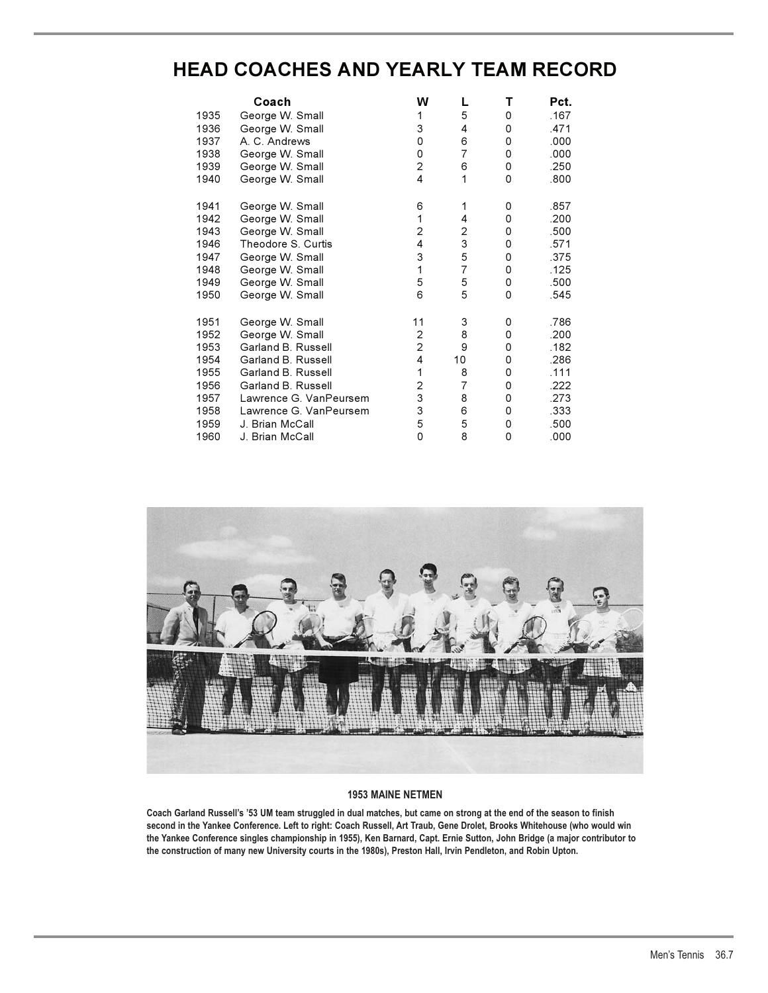# **HEAD COACHES AND YEARLY TEAM RECORD**

|      | Coach                  | W                       | L              | т           | Pct. |
|------|------------------------|-------------------------|----------------|-------------|------|
| 1935 | George W. Small        | 1                       | 5              | 0           | .167 |
| 1936 | George W. Small        | 3                       | 4              | 0           | .471 |
| 1937 | A. C. Andrews          | 0                       | 6              | 0           | .000 |
| 1938 | George W. Small        | 0                       | $\overline{7}$ | 0           | .000 |
| 1939 | George W. Small        | $\overline{c}$          | 6              | 0           | .250 |
| 1940 | George W. Small        | 4                       | 1              | $\Omega$    | .800 |
| 1941 | George W. Small        | 6                       | 1              | 0           | .857 |
| 1942 | George W. Small        | 1                       | 4              | 0           | .200 |
| 1943 | George W. Small        | $\overline{\mathbf{c}}$ | 2              | 0           | .500 |
| 1946 | Theodore S. Curtis     | 4                       | 3              | 0           | .571 |
| 1947 | George W. Small        | 3                       | 5              | 0           | .375 |
| 1948 | George W. Small        | $\mathbf{1}$            | $\overline{7}$ | 0           | .125 |
| 1949 | George W. Small        | 5                       | 5              | 0           | .500 |
| 1950 | George W. Small        | 6                       | 5              | $\mathbf 0$ | .545 |
| 1951 | George W. Small        | 11                      | 3              | 0           | .786 |
| 1952 | George W. Small        | 2                       | 8              | 0           | .200 |
| 1953 | Garland B. Russell     | $\overline{c}$          | 9              | 0           | .182 |
| 1954 | Garland B. Russell     | 4                       | 10             | 0           | .286 |
| 1955 | Garland B. Russell     | $\mathbf{1}$            | 8              | 0           | .111 |
| 1956 | Garland B. Russell     | $\overline{\mathbf{c}}$ | 7              | 0           | .222 |
| 1957 | Lawrence G. VanPeursem | 3                       | 8              | 0           | .273 |
| 1958 | Lawrence G. VanPeursem | 3                       | 6              | 0           | .333 |
| 1959 | J. Brian McCall        | 5                       | 5              | 0           | .500 |
| 1960 | J. Brian McCall        | 0                       | 8              | 0           | .000 |



### **1953 MAINE NETMEN**

**Coach Garland Russell's '53 UM team struggled in dual matches, but came on strong at the end of the season to finish second in the Yankee Conference. Left to right: Coach Russell, Art Traub, Gene Drolet, Brooks Whitehouse (who would win the Yankee Conference singles championship in 1955), Ken Barnard, Capt. Ernie Sutton, John Bridge (a major contributor to the construction of many new University courts in the 1980s), Preston Hall, Irvin Pendleton, and Robin Upton.**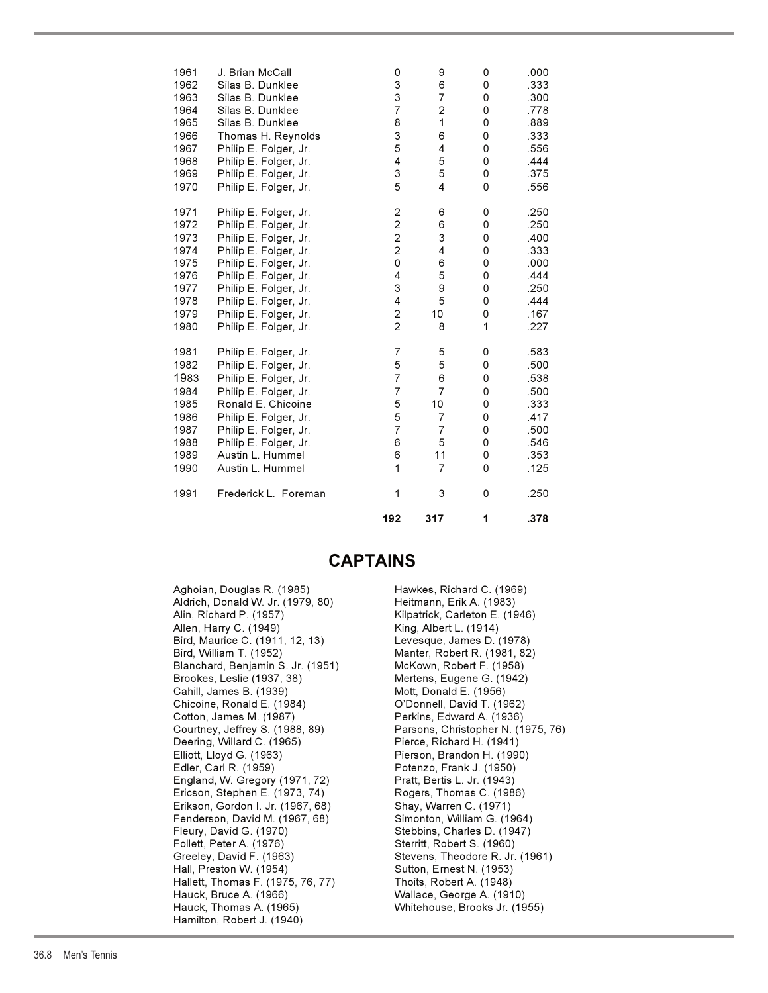| 1961         | J. Brian McCall                                | 0                            | 9                       | 0      | .000         |
|--------------|------------------------------------------------|------------------------------|-------------------------|--------|--------------|
| 1962<br>1963 | Silas B. Dunklee<br>Silas B. Dunklee           | 3<br>3                       | 6<br>$\overline{7}$     | 0<br>0 | .333         |
| 1964         | Silas B. Dunklee                               | $\overline{7}$               | $\overline{\mathbf{c}}$ | 0      | .300<br>.778 |
| 1965         | Silas B. Dunklee                               | 8                            | 1                       | 0      | .889         |
| 1966         | Thomas H. Reynolds                             | 3                            | 6                       | 0      | .333         |
| 1967         | Philip E. Folger, Jr.                          | 5                            | 4                       | 0      | .556         |
| 1968         | Philip E. Folger, Jr.                          | 4                            | 5                       | 0      | .444         |
| 1969         | Philip E. Folger, Jr.                          | 3                            | 5                       | 0      | .375         |
| 1970         | Philip E. Folger, Jr.                          | 5                            | 4                       | 0      | .556         |
| 1971         | Philip E. Folger, Jr.                          | $\overline{\mathbf{c}}$      | 6                       | 0      | .250         |
| 1972         | Philip E. Folger, Jr.                          | $\overline{c}$               | 6                       | 0      | .250         |
| 1973         | Philip E. Folger, Jr.                          | $\overline{c}$               | 3                       | 0      | .400         |
| 1974         | Philip E. Folger, Jr.                          | $\overline{2}$               | 4                       | 0      | .333         |
| 1975         | Philip E. Folger, Jr.                          | 0                            | 6                       | 0      | .000         |
| 1976         | Philip E. Folger, Jr.                          | 4                            | 5                       | 0      | .444         |
| 1977         | Philip E. Folger, Jr.                          | 3                            | 9                       | 0      | .250         |
| 1978<br>1979 | Philip E. Folger, Jr.                          | 4<br>$\overline{\mathbf{c}}$ | 5<br>10                 | 0<br>0 | .444<br>.167 |
| 1980         | Philip E. Folger, Jr.<br>Philip E. Folger, Jr. | $\overline{2}$               | 8                       | 1      | .227         |
|              |                                                |                              |                         |        |              |
| 1981         | Philip E. Folger, Jr.                          | 7                            | 5                       | 0      | .583         |
| 1982         | Philip E. Folger, Jr.                          | 5                            | 5                       | 0      | .500         |
| 1983         | Philip E. Folger, Jr.                          | $\overline{7}$               | 6                       | 0      | .538         |
| 1984         | Philip E. Folger, Jr.                          | $\overline{7}$               | $\overline{7}$          | 0      | .500         |
| 1985         | Ronald E. Chicoine                             | 5                            | 10                      | 0      | .333         |
| 1986         | Philip E. Folger, Jr.                          | 5                            | $\overline{7}$          | 0      | .417         |
| 1987         | Philip E. Folger, Jr.                          | $\overline{7}$               | $\overline{7}$          | 0      | .500         |
| 1988         | Philip E. Folger, Jr.                          | 6                            | 5                       | 0      | .546         |
| 1989         | Austin L. Hummel                               | 6<br>1                       | 11<br>$\overline{7}$    | 0      | .353         |
| 1990         | Austin L. Hummel                               |                              |                         | 0      | .125         |
| 1991         | Frederick L. Foreman                           | 1                            | 3                       | 0      | .250         |
|              |                                                | 192                          | 317                     | 1      | .378         |

## **CAPTAINS**

Aghoian, Douglas R. (1985) Hawkes, Richard C. (1969) Aldrich, Donald W. Jr. (1979, 80) Heitmann, Erik A. (1983) Alin, Richard P. (1957) Kilpatrick, Carleton E. (1946) Allen, Harry C. (1949) King, Albert L. (1914) Bird, Maurice C. (1911, 12, 13) Levesque, James D. (1978) Bird, William T. (1952) Manter, Robert R. (1981, 82) Blanchard, Benjamin S. Jr. (1951) McKown, Robert F. (1958) Brookes, Leslie (1937, 38) Mertens, Eugene G. (1942) Cahill, James B. (1939) Mott, Donald E. (1956) Chicoine, Ronald E. (1984) O'Donnell, David T. (1962) Cotton, James M. (1987) Perkins, Edward A. (1936) Deering, Willard C. (1965) Elliott, Lloyd G. (1963) Pierson, Brandon H. (1990) Edler, Carl R. (1959) Potenzo, Frank J. (1950) England, W. Gregory (1971, 72) Pratt, Bertis L. Jr. (1943) Ericson, Stephen E. (1973, 74) Rogers, Thomas C. (1986) Erikson, Gordon I. Jr. (1967, 68) Shay, Warren C. (1971) Fenderson, David M. (1967, 68) Simonton, William G. (1964) Fleury, David G. (1970) Stebbins, Charles D. (1947) Follett, Peter A. (1976) Sterritt, Robert S. (1960) Greeley, David F. (1963) Stevens, Theodore R. Jr. (1961) Hall, Preston W. (1954) Sutton, Ernest N. (1953) Hallett, Thomas F. (1975, 76, 77) Thoits, Robert A. (1948) Hauck, Bruce A. (1966) Wallace, George A. (1910) Hauck, Thomas A. (1965) Whitehouse, Brooks Jr. (1955) Hamilton, Robert J. (1940)

Courtney, Jeffrey S. (1988, 89) Parsons, Christopher N. (1975, 76)<br>Deering, Willard C. (1965) Pierce, Richard H. (1941)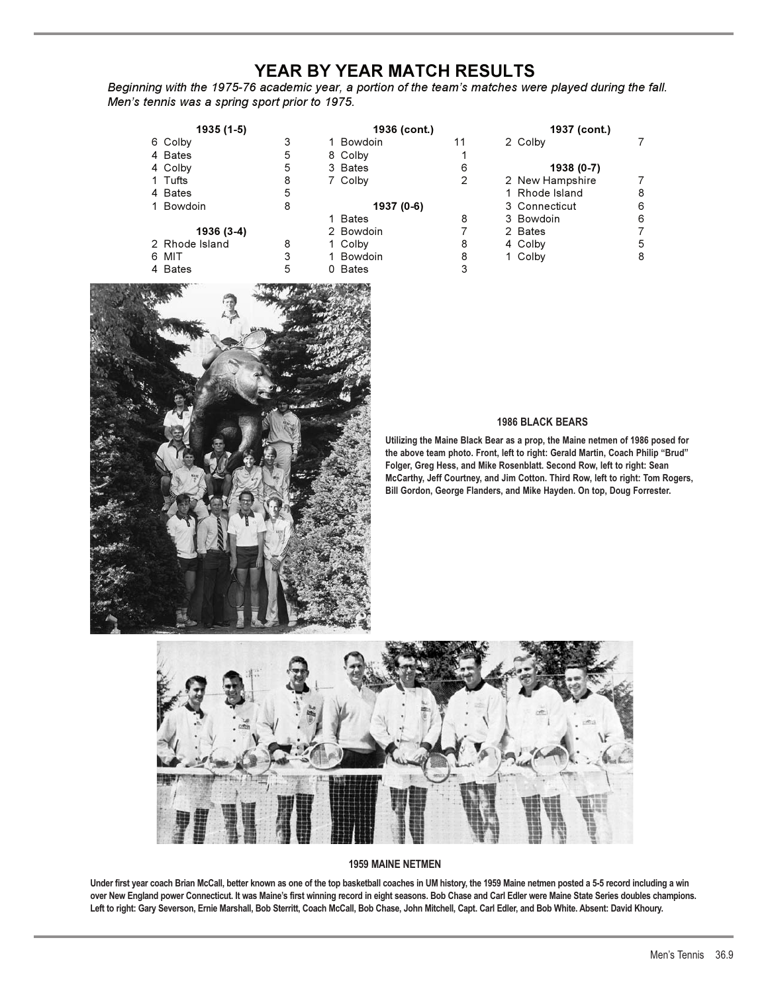# **YEAR BY YEAR MATCH RESULTS**

*Beginning with the 1975-76 academic year, a portion of the team's matches were played during the fall. Men's tennis was a spring sport prior to 1975.*

| 1935 (1-5)     |   | 1936 (cont.) |    | 1937 (cont.)    |   |
|----------------|---|--------------|----|-----------------|---|
| 6 Colby        | 3 | 1 Bowdoin    | 11 | 2 Colby         |   |
| 4 Bates        | 5 | 8 Colby      |    |                 |   |
| 4 Colby        | 5 | 3 Bates      | 6  | 1938 (0-7)      |   |
| 1 Tufts        | 8 | 7 Colby      | 2  | 2 New Hampshire |   |
| 4 Bates        | 5 |              |    | 1 Rhode Island  | 8 |
| 1 Bowdoin      | 8 | 1937 (0-6)   |    | 3 Connecticut   | 6 |
|                |   | 1 Bates      | 8  | 3 Bowdoin       | 6 |
| 1936 (3-4)     |   | 2 Bowdoin    |    | 2 Bates         |   |
| 2 Rhode Island | 8 | 1 Colby      | 8  | 4 Colby         | 5 |
| 6 MIT          | 3 | 1 Bowdoin    | 8  | 1 Colby         | 8 |
| 4 Bates        | 5 | 0 Bates      |    |                 |   |



# **1986 BLACK BEARS**

**Utilizing the Maine Black Bear as a prop, the Maine netmen of 1986 posed for the above team photo. Front, left to right: Gerald Martin, Coach Philip "Brud" Folger, Greg Hess, and Mike Rosenblatt. Second Row, left to right: Sean McCarthy, Jeff Courtney, and Jim Cotton. Third Row, left to right: Tom Rogers, Bill Gordon, George Flanders, and Mike Hayden. On top, Doug Forrester.**



### **1959 MAINE NETMEN**

**Under first year coach Brian McCall, better known as one of the top basketball coaches in UM history, the 1959 Maine netmen posted a 5-5 record including a win over New England power Connecticut. It was Maine's first winning record in eight seasons. Bob Chase and Carl Edler were Maine State Series doubles champions. Left to right: Gary Severson, Ernie Marshall, Bob Sterritt, Coach McCall, Bob Chase, John Mitchell, Capt. Carl Edler, and Bob White. Absent: David Khoury.**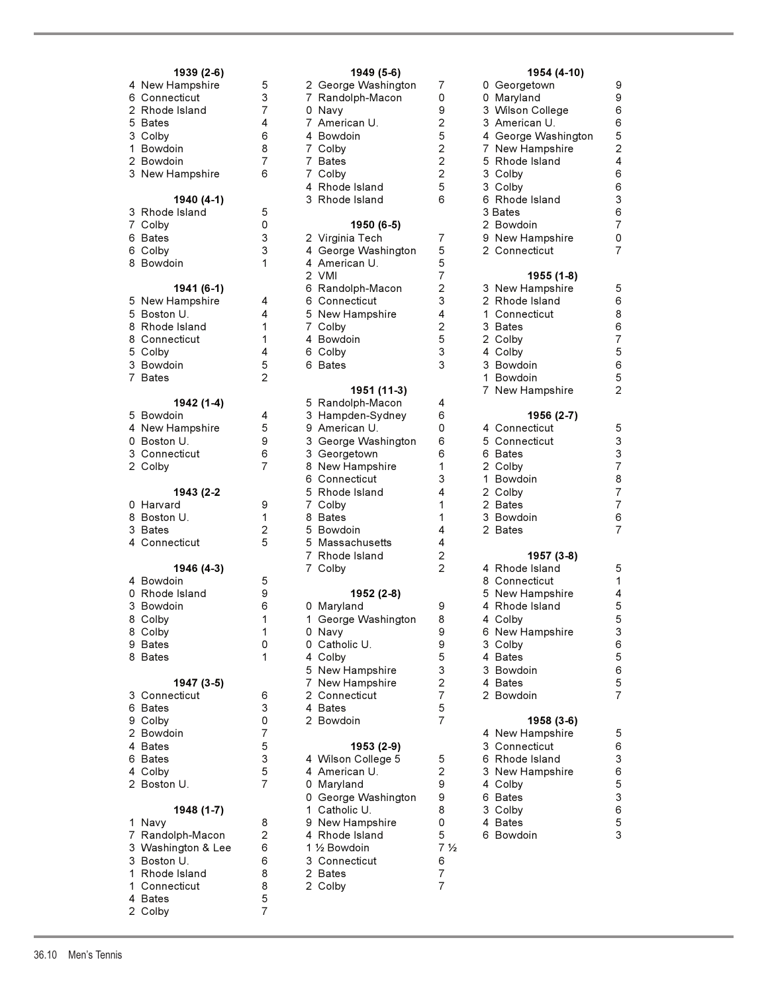|    | 1939 (2-6)<br>4 New Hampshire   | 5                   | 2<br>G                                     |
|----|---------------------------------|---------------------|--------------------------------------------|
|    | 6 Connecticut<br>2 Rhode Island | 3<br>7              | $\overline{7}$<br>$\overline{R}$<br>0      |
|    | 5 Bates                         | 4                   | N<br>$\overline{7}$<br>$\overline{A}$      |
|    | 3 Colby                         | 6                   | 4 B                                        |
|    | 1 Bowdoin<br>2 Bowdoin          | 8<br>7              | 7 <sup>c</sup><br>7 B                      |
|    | 3 New Hampshire                 | 6                   | $\overline{7}$<br>$\mathsf{C}$             |
|    | 1940 (4-1)                      |                     | 4<br>R<br>3<br>R                           |
|    | 3 Rhode Island                  | 5                   |                                            |
|    | 7 Colby<br>6 Bates              | 0<br>3              | 2<br>-V                                    |
|    | 6 Colby                         | 3                   | 4<br>G                                     |
|    | 8 Bowdoin                       | $\mathbf{1}$        | 4 A<br>$\overline{2}$<br>$\vee$            |
|    | 1941 (6-1)                      |                     | $\overline{R}$<br>6                        |
|    | 5 New Hampshire<br>5 Boston U.  | 4<br>4              | 6<br>$\mathsf{C}$<br>5<br>$\mathsf{N}$     |
|    | 8 Rhode Island                  | 1                   | $\overline{7}$<br>$\mathsf{C}$             |
|    | 8 Connecticut                   | 1                   | 4<br>$\overline{B}$                        |
|    | 5 Colby<br>3 Bowdoin            | 4<br>5              | 6<br>C<br>6                                |
|    | 7 Bates                         | $\overline{2}$      | B                                          |
|    | 1942 (1-4)                      |                     | 5<br>R                                     |
|    | 5 Bowdoin                       | 4                   | 3<br>$\vdash$                              |
|    | 4 New Hampshire                 | 5                   | 9 A                                        |
|    | 0 Boston U.<br>3 Connecticut    | 9<br>6              | 3<br>G<br>3<br>G                           |
|    | 2 Colby                         | $\overline{7}$      | $\overline{N}$<br>8                        |
|    | 1943 (2-2                       |                     | 6<br>C<br>5<br>$\overline{R}$              |
|    | 0 Harvard<br>8 Boston U.        | 9<br>1              | $\overline{7}$<br>$\mathsf{C}$<br>8<br>B   |
|    | 3 Bates                         | 2                   | 5<br>B                                     |
| 4  | Connecticut                     | 5                   | 5<br>N                                     |
|    | 1946 (4-3)                      |                     | $\overline{7}$<br>R<br>$\overline{7}$<br>C |
|    | 4 Bowdoin<br>0 Rhode Island     | 5<br>9              |                                            |
|    | 3 Bowdoin                       | 6                   | 0<br>N                                     |
| 8. | Colby                           | 1                   | 1<br>G                                     |
|    | 8 Colby                         | 1                   | 0 N                                        |
| 8  | 9 Bates<br><b>Bates</b>         | 0<br>1              | $\mathsf{C}$<br>0<br>4<br>$\mathsf{C}$     |
|    |                                 |                     | $\overline{N}$<br>5                        |
| 3  | 1947 (3-5)<br>Connecticut       | 6                   | 7<br>N<br>$\overline{\mathbf{c}}$<br>C     |
|    | 6 Bates                         | 3                   | 4<br>B                                     |
|    | 9 Colby                         | 0                   | 2<br>B                                     |
|    | 2 Bowdoin<br>4 Bates            | $\overline{7}$<br>5 |                                            |
| 6  | <b>Bates</b>                    | 3                   | V<br>4                                     |
|    | 4 Colby                         | 5                   | 4<br>$\overline{A}$                        |
|    | 2 Boston U.                     | 7                   | 0<br>N<br>0<br>G                           |
| 1  | 1948 (1-7)                      |                     | 1<br>C<br>9<br>N                           |
| 7  | Navy<br>Randolph-Macon          | 8<br>2              | 4 R                                        |
|    | 3 Washington & Lee              | 6                   | 1<br>$\frac{1}{2}$                         |
|    | 3 Boston U.                     | 6                   | 3<br>C                                     |
| 1. | 1 Rhode Island<br>Connecticut   | 8<br>8              | $\overline{B}$<br>2<br>2<br>C              |
|    | 4 Bates                         | 5                   |                                            |

2 Colby 7

| 1939 (2-6)                  |                | 1949 (5-6)                         |                | 1954 (4-10)                  |
|-----------------------------|----------------|------------------------------------|----------------|------------------------------|
| 4 New Hampshire             | 5              | 2 George Washington                | 7              | 0 Georgetown                 |
| 6 Connecticut               | 3              | 7 Randolph-Macon                   | 0              | 0 Maryland                   |
| 2 Rhode Island              | $\overline{7}$ | 0 Navy                             | 9              | 3 Wilson College             |
| 5 Bates                     | 4              | 7 American U.                      | $\overline{2}$ | 3 American U.                |
| 3 Colby                     | 6              | 4 Bowdoin                          | 5              | 4 George Washingto           |
| 1 Bowdoin                   | 8              | 7 Colby                            | 2              | 7 New Hampshire              |
| 2 Bowdoin                   | 7              | 7 Bates                            | 2              | 5 Rhode Island               |
| 3 New Hampshire             | 6              | 7 Colby                            | $\overline{c}$ | 3 Colby                      |
|                             |                | 4 Rhode Island                     | 5              | 3 Colby                      |
| 1940 (4-1)                  |                | 3 Rhode Island                     | 6              | 6 Rhode Island               |
| 3 Rhode Island              | 5              |                                    |                | 3 Bates                      |
| 7 Colby                     | 0              | 1950 (6-5)                         |                | 2 Bowdoin                    |
| 6 Bates                     | 3              |                                    | $\overline{7}$ |                              |
|                             | 3              | 2 Virginia Tech                    | 5              | 9 New Hampshire              |
| 6 Colby<br>8 Bowdoin        | 1              | 4 George Washington                | 5              | 2 Connecticut                |
|                             |                | 4 American U.                      | 7              |                              |
|                             |                | 2 VMI                              | $\overline{c}$ | 1955 (1-8)                   |
| 1941 (6-1)                  |                | 6 Randolph-Macon                   |                | 3 New Hampshire              |
| 5 New Hampshire             | 4              | 6 Connecticut                      | 3              | 2 Rhode Island               |
| 5 Boston U.                 | 4              | 5 New Hampshire                    | 4              | 1 Connecticut                |
| 8 Rhode Island              | 1              | 7 Colby                            | 2              | 3 Bates                      |
| 8 Connecticut               | 1              | 4 Bowdoin                          | 5              | 2 Colby                      |
| 5 Colby                     | 4              | 6 Colby                            | 3              | 4 Colby                      |
| 3 Bowdoin                   | 5              | 6 Bates                            | 3              | 3 Bowdoin                    |
| 7 Bates                     | $\overline{2}$ |                                    |                | 1 Bowdoin                    |
|                             |                | 1951 (11-3)                        |                | 7 New Hampshire              |
| 1942 (1-4)                  |                | 5 Randolph-Macon                   | 4              |                              |
| 5 Bowdoin                   | 4              | 3 Hampden-Sydney                   | 6              | 1956 (2-7)                   |
| 4 New Hampshire             | 5              | 9 American U.                      | 0              | 4 Connecticut                |
| 0 Boston U.                 | 9              | 3 George Washington                | 6              | 5 Connecticut                |
| 3 Connecticut               | 6              | 3 Georgetown                       | 6              | 6 Bates                      |
| 2 Colby                     | 7              | 8 New Hampshire                    | 1              | 2 Colby                      |
|                             |                | 6 Connecticut                      | 3              | 1 Bowdoin                    |
| 1943 (2-2                   |                | 5 Rhode Island                     | 4              | 2 Colby                      |
| 0 Harvard                   | 9              | 7 Colby                            | 1              | 2 Bates                      |
| 8 Boston U.                 | 1              | 8 Bates                            | 1              | 3 Bowdoin                    |
| 3 Bates                     | 2              | 5 Bowdoin                          | 4              | 2 Bates                      |
| 4 Connecticut               | 5              | 5 Massachusetts                    | 4              |                              |
|                             |                | 7 Rhode Island                     | 2<br>2         | 1957 (3-8)<br>4 Rhode Island |
| 1946 (4-3)                  | 5              | 7 Colby                            |                |                              |
| 4 Bowdoin                   |                |                                    |                | 8 Connecticut                |
| 0 Rhode Island<br>3 Bowdoin | 9<br>6         | 1952 (2-8)                         |                | 5 New Hampshire              |
| 8 Colby                     | 1              | 0 Maryland                         | 9<br>8         | 4 Rhode Island               |
|                             |                | 1 George Washington                |                | 4 Colby                      |
| 8 Colby                     | 1<br>0         | 0 Navy<br>0 Catholic U.            | 9<br>9         | 6 New Hampshire              |
| 9 Bates<br>8 Bates          | 1              | 4 Colbv                            | 5              | 3 Colby                      |
|                             |                |                                    | 3              | 4 Bates                      |
|                             |                | 5 New Hampshire<br>7 New Hampshire | $\overline{2}$ | 3 Bowdoin<br>4 Bates         |
| 1947 (3-5)<br>3 Connecticut | 6              | 2 Connecticut                      | $\overline{7}$ | 2 Bowdoin                    |
| 6 Bates                     | 3              | 4 Bates                            | 5              |                              |
| 9 Colby                     | 0              | 2 Bowdoin                          | 7              | 1958 (3-6)                   |
| 2 Bowdoin                   | $\overline{7}$ |                                    |                | 4 New Hampshire              |
| 4 Bates                     | 5              | 1953 (2-9)                         |                | 3 Connecticut                |
| 6 Bates                     | 3              | 4 Wilson College 5                 | 5              | 6 Rhode Island               |
| 4 Colby                     | 5              | 4 American U.                      | 2              | 3 New Hampshire              |
| 2 Boston U.                 | 7              | 0 Maryland                         | 9              | 4 Colby                      |
|                             |                | 0 George Washington                | 9              | 6 Bates                      |
| 1948 (1-7)                  |                | 1 Catholic U.                      | 8              | 3 Colby                      |
| 1 Navy                      | 8              | 9 New Hampshire                    | 0              | 4 Bates                      |
| 7 Randolph-Macon            | $\overline{c}$ | 4 Rhode Island                     | 5              | 6 Bowdoin                    |
| 3 Washington & Lee          | 6              | 1 1/2 Bowdoin                      | 7 ½            |                              |
| 3 Boston U.                 | 6              | 3 Connecticut                      | 6              |                              |
| 1 Rhode Island              | 8              | 2 Bates                            | $\overline{7}$ |                              |
| 1 Connecticut               | 8              | 2 Colby                            | 7              |                              |
| 4 Bates                     | 5              |                                    |                |                              |
|                             |                |                                    |                |                              |

| 1954 (4-10) |  |  |
|-------------|--|--|
|-------------|--|--|

| 4 New Hampshire                 | 5                       | 1949 (950)<br>2 George Washington | 7                                | $133 + 1710$<br>0 Georgetown | 9                             |
|---------------------------------|-------------------------|-----------------------------------|----------------------------------|------------------------------|-------------------------------|
| 6 Connecticut                   | 3                       | 7 Randolph-Macon                  | 0                                | 0 Maryland                   | 9                             |
| 2 Rhode Island                  | $\overline{7}$          | 0 Navy                            | 9                                | 3 Wilson College             | 6                             |
|                                 |                         |                                   |                                  |                              |                               |
| 5 Bates                         | 4                       | 7 American U.                     | 2                                | 3 American U.                | 6                             |
| 3 Colby                         | 6                       | 4 Bowdoin                         | 5                                | 4 George Washington          | 5                             |
| 1 Bowdoin                       | 8                       | 7 Colby                           | $\overline{c}$                   | 7 New Hampshire              | $\overline{c}$                |
| 2 Bowdoin                       | $\overline{7}$          | 7 Bates                           | $\overline{c}$                   | 5 Rhode Island               | $\overline{\mathbf{4}}$       |
| 3 New Hampshire                 | 6                       | 7 Colby                           | $\overline{c}$                   | 3 Colby                      | 6                             |
|                                 |                         | 4 Rhode Island                    | 5                                | 3 Colby                      | 6                             |
| 1940 (4-1)                      |                         | 3 Rhode Island                    | 6                                | 6 Rhode Island               | $\ensuremath{\mathsf{3}}$     |
| 3 Rhode Island                  | 5                       |                                   |                                  | 3 Bates                      | 6                             |
| 7 Colby                         | 0                       | 1950 (6-5)                        |                                  | 2 Bowdoin                    | $\overline{7}$                |
| 6 Bates                         | 3                       | 2 Virginia Tech                   | 7                                | 9 New Hampshire              | $\mathsf{O}\xspace$           |
| 6 Colby                         | 3                       | 4 George Washington               | 5                                | 2 Connecticut                | $\overline{7}$                |
| 8 Bowdoin                       | 1                       | 4 American U.                     | 5                                |                              |                               |
|                                 |                         | 2 VMI                             | $\overline{7}$                   | 1955 (1-8)                   |                               |
| 1941 (6-1)                      |                         | 6 Randolph-Macon                  | $\overline{c}$                   | 3 New Hampshire              | 5                             |
| 5 New Hampshire                 | 4                       | 6 Connecticut                     | 3                                | 2 Rhode Island               | 6                             |
|                                 | 4                       | 5 New Hampshire                   | 4                                |                              | 8                             |
| 5 Boston U.                     |                         |                                   |                                  | 1 Connecticut                |                               |
| 8 Rhode Island                  | 1                       | 7 Colby                           | $\overline{c}$                   | 3 Bates                      | 6                             |
| 8 Connecticut                   | 1                       | 4 Bowdoin                         | 5                                | 2 Colby                      | $\overline{\mathcal{I}}$      |
| 5 Colby                         | 4                       | 6 Colby                           | 3                                | 4 Colby                      | $\mathbf 5$                   |
| 3 Bowdoin                       | 5                       | 6 Bates                           | 3                                | 3 Bowdoin                    | 6                             |
| 7 Bates                         | $\overline{2}$          |                                   |                                  | 1 Bowdoin                    | 5                             |
|                                 |                         | 1951 (11-3)                       |                                  | 7 New Hampshire              | $\overline{2}$                |
| 1942 (1-4)                      |                         | 5 Randolph-Macon                  | 4                                |                              |                               |
| 5 Bowdoin                       | 4                       | 3 Hampden-Sydney                  | 6                                | 1956 (2-7)                   |                               |
| 4 New Hampshire                 | 5                       | 9 American U.                     | 0                                | 4 Connecticut                | 5                             |
| 0 Boston U.                     | 9                       | 3 George Washington               | 6                                | 5 Connecticut                | 3                             |
| 3 Connecticut                   | 6                       | 3 Georgetown                      | 6                                | 6 Bates                      | $\ensuremath{\mathsf{3}}$     |
| 2 Colby                         | 7                       | 8 New Hampshire                   | 1                                | 2 Colby                      | $\overline{7}$                |
|                                 |                         | 6 Connecticut                     | 3                                | 1 Bowdoin                    | 8                             |
| 1943 (2-2                       |                         | 5 Rhode Island                    | 4                                | 2 Colby                      | $\frac{7}{7}$                 |
|                                 |                         |                                   |                                  |                              |                               |
|                                 |                         |                                   |                                  |                              |                               |
| 0 Harvard                       | 9                       | 7 Colby                           | $\mathbf{1}$                     | 2 Bates                      |                               |
| 8 Boston U.                     | 1                       | 8 Bates                           | 1                                | 3 Bowdoin                    | 6                             |
| 3 Bates                         | $\overline{\mathbf{c}}$ | 5 Bowdoin                         | 4                                | 2 Bates                      | $\overline{7}$                |
| 4 Connecticut                   | 5                       | 5 Massachusetts                   | 4                                |                              |                               |
|                                 |                         | 7 Rhode Island                    | $\overline{c}$                   | 1957 (3-8)                   |                               |
| 1946 (4-3)                      |                         | 7 Colby                           | $\overline{2}$                   | 4 Rhode Island               | 5                             |
| 4 Bowdoin                       | 5                       |                                   |                                  | 8 Connecticut                | 1                             |
| 0 Rhode Island                  | 9                       | 1952 (2-8)                        |                                  | 5 New Hampshire              | 4                             |
| 3 Bowdoin                       | 6                       | 0 Maryland                        | 9                                | 4 Rhode Island               | $\mathbf 5$                   |
| 8 Colby                         | 1                       | 1 George Washington               | 8                                | 4 Colby                      | 5                             |
| 8 Colby                         | 1                       | 0 Navy                            | 9                                | 6 New Hampshire              | 3                             |
| 9 Bates                         | 0                       | 0 Catholic U.                     | 9                                | 3 Colby                      | 6                             |
| 8 Bates                         | 1                       | 4 Colby                           | 5                                | 4 Bates                      | $\,$ 5 $\,$                   |
|                                 |                         | 5 New Hampshire                   | 3                                | 3 Bowdoin                    | 6                             |
|                                 |                         |                                   | $\overline{c}$                   | 4 Bates                      |                               |
| 1947 (3-5)<br>3 Connecticut     | 6                       | 7 New Hampshire<br>2 Connecticut  | 7                                | 2 Bowdoin                    | $\mathbf 5$<br>$\overline{7}$ |
| 6 Bates                         | 3                       | 4 Bates                           | 5                                |                              |                               |
|                                 | 0                       |                                   | 7                                |                              |                               |
| 9 Colby                         |                         | 2 Bowdoin                         |                                  | 1958 (3-6)                   |                               |
| 2 Bowdoin                       | 7                       |                                   |                                  | 4 New Hampshire              | $\mathbf 5$                   |
| 4 Bates                         | 5                       | 1953 (2-9)                        |                                  | 3 Connecticut                | 6                             |
| 6 Bates                         | 3                       | 4 Wilson College 5                | 5                                | 6 Rhode Island               | $\ensuremath{\mathsf{3}}$     |
| 4 Colby                         | 5                       | 4 American U.                     | $\overline{2}$                   | 3 New Hampshire              | $\mathbf 6$                   |
| 2 Boston U.                     | 7                       | 0 Maryland                        | 9                                | 4 Colby                      | $\mathbf 5$                   |
|                                 |                         | 0 George Washington               | 9                                | 6 Bates                      | 3                             |
| 1948 (1-7)                      |                         | 1 Catholic U.                     | 8                                | 3 Colby                      | 6                             |
| 1 Navy                          | 8                       | 9 New Hampshire                   | 0                                | 4 Bates                      | $\mathbf 5$                   |
| 7 Randolph-Macon                | $\overline{2}$          | 4 Rhode Island                    | 5                                | 6 Bowdoin                    | 3                             |
| 3 Washington & Lee              | 6                       | 1 1/2 Bowdoin                     | 7 ½                              |                              |                               |
| 3 Boston U.                     | 6                       | 3 Connecticut                     | 6                                |                              |                               |
| 1 Rhode Island<br>1 Connecticut | 8<br>8                  | 2 Bates<br>2 Colby                | $\overline{7}$<br>$\overline{7}$ |                              |                               |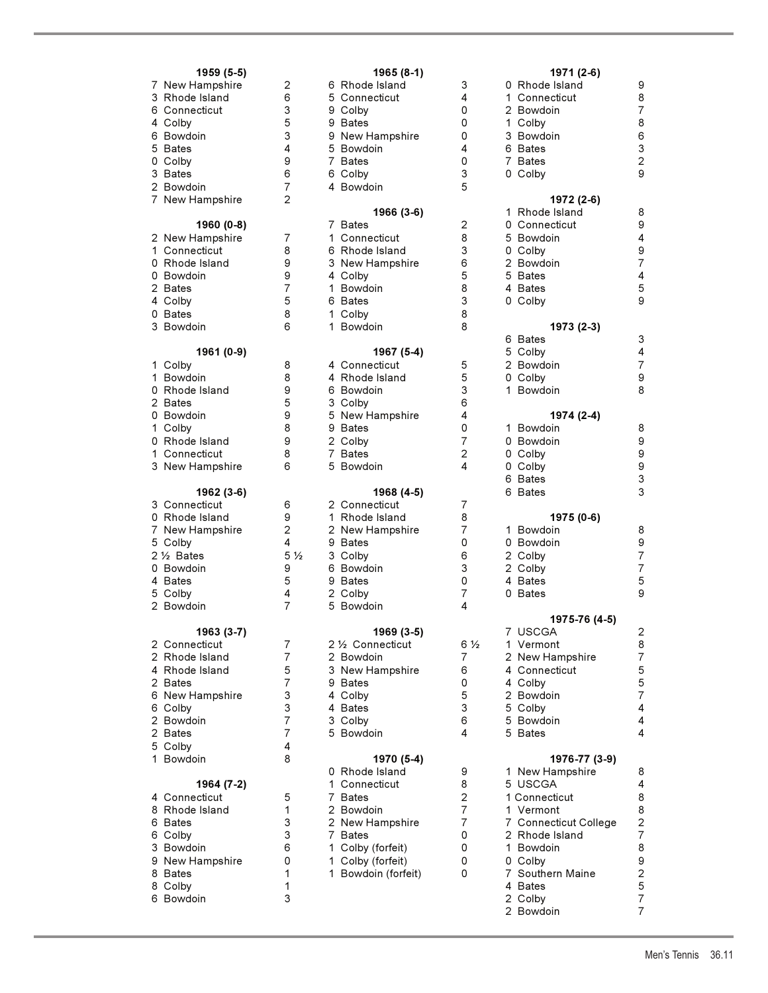| 1959 (5-5)<br>7 New Hampshire<br>3 Rhode Island<br>6 Connecticut<br>4 Colby<br>6 Bowdoin<br>5<br><b>Bates</b><br>0 Colby<br>3 Bates<br>2 Bowdoin<br>$\overline{7}$<br>New Hampshire | 2<br>6<br>3<br>5<br>3<br>4<br>9<br>6<br>7<br>$\overline{c}$                           | R<br>6<br>5<br>$\mathsf{C}$<br>$\mathsf{C}$<br>9<br>9<br>B<br>9 N<br>5<br>B<br>$\overline{7}$<br>B<br>6<br>C<br>4<br>в |
|-------------------------------------------------------------------------------------------------------------------------------------------------------------------------------------|---------------------------------------------------------------------------------------|------------------------------------------------------------------------------------------------------------------------|
| 1960 (0-8)<br>2 New Hampshire<br>1<br>Connecticut<br>0 Rhode Island<br>0 Bowdoin<br>2 Bates<br>4 Colby<br>0 Bates<br>3 Bowdoin                                                      | 7<br>8<br>9<br>9<br>7<br>5<br>8<br>6                                                  | 7<br>В<br>1<br>C<br>6<br>$\mathbb{R}$<br>3<br>$\mathsf{N}$<br>4<br>C<br>1<br>B<br>6<br>B<br>C<br>1<br>1<br>B           |
| 1961 (0-9)<br>1.<br>Colby                                                                                                                                                           | 8                                                                                     | 4<br>C                                                                                                                 |
| 1<br>Bowdoin<br>0 Rhode Island<br>2 Bates<br>0 Bowdoin<br>1 Colby<br>0 Rhode Island<br>1 Connecticut<br>3 New Hampshire                                                             | 8<br>9<br>5<br>9<br>8<br>9<br>8<br>6                                                  | 4<br>$\mathbb{R}$<br>$\overline{B}$<br>6<br>3<br>C<br>5<br>N<br>9<br>B<br>2<br>$\mathsf{C}$<br>7<br>B<br>5<br>B        |
| 1962 (3-6)<br>3 Connecticut<br>0 Rhode Island<br>7 New Hampshire<br>5 Colby<br>2 1/2 Bates<br>0 Bowdoin<br>4 Bates<br>5 Colby<br>$\overline{2}$<br>Bowdoin                          | 6<br>9<br>$\overline{\mathbf{c}}$<br>4<br>5 <sub>2</sub><br>9<br>5<br>4<br>7          | 2<br>C<br>R<br>1<br>2<br>N<br>9<br>В<br>3<br>$\mathsf{C}$<br>6<br>B<br>9<br>B<br>2<br>C<br>5<br>B                      |
| 1963 (3-7)                                                                                                                                                                          |                                                                                       |                                                                                                                        |
| 2<br>Connecticut<br>$\overline{2}$<br>Rhode Island<br>4 Rhode Island<br>2 Bates<br>6 New Hampshire<br>6<br>Colby<br>2 Bowdoin<br>2 Bates<br>5 Colby<br>1.<br>Bowdoin                | 7<br>7<br>5<br>$\overline{7}$<br>3<br>3<br>$\overline{7}$<br>$\overline{7}$<br>4<br>8 | 2 <sub>2</sub><br>2<br>B<br>3<br>N<br>9<br>B<br>4<br>C<br>4<br>B<br>3<br>C<br>5<br>B                                   |
| 1964 (7-2)                                                                                                                                                                          |                                                                                       | 0<br>R<br>1<br>C                                                                                                       |
| 4 Connecticut<br>8 Rhode Island<br>6 Bates<br>6<br>Colby<br>3 Bowdoin<br>9 New Hampshire<br>8<br>Bates<br>8 Colby<br>6<br>Bowdoin                                                   | 5<br>1<br>3<br>3<br>6<br>0<br>1<br>1<br>3                                             | $\overline{7}$<br>B<br>2<br>В<br>2<br>Ν<br>7<br>B<br>1<br>C<br>1<br>C<br>1<br>B                                        |
|                                                                                                                                                                                     |                                                                                       |                                                                                                                        |

| 1959 (5-5)                  |                     | 1965 (8-1)                   |                | 1971 (2-6)            |
|-----------------------------|---------------------|------------------------------|----------------|-----------------------|
| 7 New Hampshire             | 2                   | 6 Rhode Island               | 3              | 0 Rhode Island        |
| 3 Rhode Island              | 6                   | 5 Connecticut                | 4              | 1 Connecticut         |
| 6 Connecticut               | 3                   | 9 Colby                      | 0              | 2 Bowdoin             |
| 4 Colby                     | 5                   | 9 Bates                      | 0              | 1 Colby               |
| 6 Bowdoin                   | 3                   | 9 New Hampshire              | 0              | 3 Bowdoin             |
| 5 Bates                     | 4                   | 5 Bowdoin                    | 4              | 6 Bates               |
| 0 Colby                     | 9                   | 7 Bates                      | 0              | 7 Bates               |
| 3 Bates                     | 6                   | 6 Colby                      | 3              | 0 Colby               |
| 2 Bowdoin                   | $\overline{7}$      | 4 Bowdoin                    | 5              |                       |
| 7 New Hampshire             | $\overline{2}$      |                              |                | 1972 (2-6)            |
|                             |                     | 1966 (3-6)                   |                | 1 Rhode Island        |
| 1960 (0-8)                  |                     | 7 Bates                      | $\overline{2}$ | 0 Connecticut         |
| 2 New Hampshire             | 7                   | 1 Connecticut                | 8              | 5 Bowdoin             |
| 1 Connecticut               | 8                   | 6 Rhode Island               | 3              | 0 Colby               |
| 0 Rhode Island              | 9                   | 3 New Hampshire              | 6<br>5         | 2 Bowdoin             |
| 0 Bowdoin                   | 9<br>$\overline{7}$ | 4 Colby<br>1 Bowdoin         | 8              | 5 Bates               |
| 2 Bates                     | 5                   | 6 Bates                      | 3              | 4 Bates<br>0 Colby    |
| 4 Colby<br>0 Bates          | 8                   | 1 Colby                      | 8              |                       |
| 3 Bowdoin                   | 6                   | 1 Bowdoin                    | 8              | 1973 (2-3)            |
|                             |                     |                              |                | 6 Bates               |
| 1961 (0-9)                  |                     | 1967 (5-4)                   |                | 5 Colby               |
| 1 Colby                     | 8                   | 4 Connecticut                | 5              | 2 Bowdoin             |
| 1 Bowdoin                   | 8                   | 4 Rhode Island               | 5              | 0 Colby               |
| 0 Rhode Island              | 9                   | 6 Bowdoin                    | 3              | 1 Bowdoin             |
| 2 Bates                     | 5                   | 3 Colby                      | 6              |                       |
| 0 Bowdoin                   | 9                   | 5 New Hampshire              | 4              | 1974 (2-4)            |
| 1 Colby                     | 8                   | 9 Bates                      | 0              | 1 Bowdoin             |
| 0 Rhode Island              | 9                   | 2 Colby                      | $\overline{7}$ | 0 Bowdoin             |
| 1 Connecticut               | 8                   | 7 Bates                      | 2              | 0 Colby               |
| 3 New Hampshire             | 6                   | 5 Bowdoin                    | 4              | 0 Colby               |
|                             |                     |                              |                | 6 Bates               |
| 1962 (3-6)                  |                     | 1968 (4-5)                   |                | 6 Bates               |
| 3 Connecticut               | 6                   | 2 Connecticut                | 7              |                       |
| 0 Rhode Island              | 9                   | 1 Rhode Island               | 8              | 1975 (0-6)            |
| 7 New Hampshire             | $\overline{c}$      | 2 New Hampshire              | $\overline{7}$ | 1 Bowdoin             |
| 5 Colby                     | 4                   | 9 Bates                      | 0              | 0 Bowdoin             |
| 2 1/ <sub>2</sub> Bates     | 5 <sub>2</sub>      | 3 Colby                      | 6              | 2 Colby               |
| 0 Bowdoin                   | 9                   | 6 Bowdoin                    | 3              | 2 Colby               |
| 4 Bates                     | 5                   | 9 Bates                      | 0              | 4 Bates               |
| 5 Colby                     | 4                   | 2 Colby                      | 7              | 0 Bates               |
| 2 Bowdoin                   | 7                   | 5 Bowdoin                    | 4              |                       |
|                             |                     |                              |                | 1975-76 (4-5)         |
| 1963 (3-7)<br>2 Connecticut | 7                   | 1969 (3-5)                   | $6\frac{1}{2}$ | 7 USCGA<br>1 Vermont  |
| 2 Rhode Island              | $\overline{7}$      | 2 ½ Connecticut<br>2 Bowdoin | 7              | 2 New Hampshire       |
| 4 Rhode Island              | 5                   | 3 New Hampshire              | 6              | 4 Connecticut         |
| 2 Bates                     | $\overline{7}$      | 9 Bates                      | 0              | 4 Colby               |
| 6 New Hampshire             | 3                   | 4 Colby                      | 5              | 2 Bowdoin             |
| 6 Colby                     | 3                   | 4 Bates                      | 3              | 5 Colby               |
| 2 Bowdoin                   | $\overline{7}$      | 3 Colby                      | 6              | 5 Bowdoin             |
| 2 Bates                     | $\overline{7}$      | 5 Bowdoin                    | 4              | 5 Bates               |
| 5 Colby                     | 4                   |                              |                |                       |
| 1 Bowdoin                   | 8                   | 1970 (5-4)                   |                | 1976-77 (3-9)         |
|                             |                     | 0 Rhode Island               | 9              | 1 New Hampshire       |
| 1964 (7-2)                  |                     | 1 Connecticut                | 8              | 5 USCGA               |
| 4 Connecticut               | 5                   | 7 Bates                      | $\overline{2}$ | 1 Connecticut         |
| 8 Rhode Island              | 1                   | 2 Bowdoin                    | $\overline{7}$ | 1 Vermont             |
| 6 Bates                     | 3                   | 2 New Hampshire              | $\overline{7}$ | 7 Connecticut College |
| 6 Colby                     | 3                   | 7 Bates                      | 0              | 2 Rhode Island        |
| 3 Bowdoin                   | 6                   | 1 Colby (forfeit)            | 0              | 1 Bowdoin             |
| 9 New Hampshire             | 0                   | 1 Colby (forfeit)            | 0              | 0 Colby               |
| 8 Bates                     | 1                   | 1 Bowdoin (forfeit)          | 0              | 7 Southern Maine      |
| 8 Colby                     | 1                   |                              |                | 4 Bates               |
| 6 Bowdoin                   | 3                   |                              |                | 2 Colby               |

| 1959 (5-5)              |                | 1965 (8-1)          |                | 1971 (2-6)            |                  |
|-------------------------|----------------|---------------------|----------------|-----------------------|------------------|
| 7 New Hampshire         | 2              | 6 Rhode Island      | 3              | 0 Rhode Island        | 9                |
| 3 Rhode Island          | 6              | 5 Connecticut       | 4              | 1 Connecticut         | 8                |
| 6 Connecticut           | 3              | 9 Colby             | 0              | 2 Bowdoin             | $\overline{7}$   |
| 4 Colby                 | 5              | 9 Bates             | 0              | 1 Colby               | 8                |
| 6 Bowdoin               | 3              | 9 New Hampshire     | 0              | 3 Bowdoin             | 6                |
| 5 Bates                 | 4              | 5 Bowdoin           | 4              | 6 Bates               | 3                |
| 0 Colby                 | 9              | 7 Bates             | 0              | 7 Bates               | $\mathbf 2$      |
| 3 Bates                 | 6              | 6 Colby             | 3              | 0 Colby               | 9                |
| 2 Bowdoin               | $\overline{7}$ | 4 Bowdoin           | 5              |                       |                  |
|                         | $\overline{2}$ |                     |                | 1972 (2-6)            |                  |
| 7 New Hampshire         |                | 1966 (3-6)          |                | 1 Rhode Island        | 8                |
|                         |                | 7 Bates             |                |                       | 9                |
| 1960 (0-8)              |                |                     | 2              | 0 Connecticut         |                  |
| 2 New Hampshire         | 7              | 1 Connecticut       | 8              | 5 Bowdoin             | 4                |
| 1 Connecticut           | 8              | 6 Rhode Island      | 3              | 0 Colby               | 9                |
| 0 Rhode Island          | 9              | 3 New Hampshire     | 6              | 2 Bowdoin             | $\overline{7}$   |
| 0 Bowdoin               | 9              | 4 Colby             | 5              | 5 Bates               | 4                |
| 2 Bates                 | 7              | 1 Bowdoin           | 8              | 4 Bates               | 5                |
| 4 Colby                 | 5              | 6 Bates             | 3              | 0 Colby               | 9                |
| 0 Bates                 | 8              | 1 Colby             | 8              |                       |                  |
| 3 Bowdoin               | 6              | 1 Bowdoin           | 8              | 1973 (2-3)            |                  |
|                         |                |                     |                | 6 Bates               | 3                |
| 1961 (0-9)              |                | 1967 (5-4)          |                | 5 Colby               | 4                |
| 1 Colby                 | 8              | 4 Connecticut       | 5              | 2 Bowdoin             | $\overline{7}$   |
| 1 Bowdoin               | 8              | 4 Rhode Island      | 5              | 0 Colby               | $\boldsymbol{9}$ |
| 0 Rhode Island          | 9              | 6 Bowdoin           | 3              | 1 Bowdoin             | 8                |
| 2 Bates                 | 5              | 3 Colby             | 6              |                       |                  |
| 0 Bowdoin               | 9              | 5 New Hampshire     | 4              | 1974 (2-4)            |                  |
|                         |                |                     | 0              | 1 Bowdoin             |                  |
| 1 Colby                 | 8              | 9 Bates             |                |                       | 8                |
| 0 Rhode Island          | 9              | 2 Colby             | 7              | 0 Bowdoin             | 9                |
| 1 Connecticut           | 8              | 7 Bates             | 2              | 0 Colby               | 9                |
| 3 New Hampshire         | 6              | 5 Bowdoin           | 4              | 0 Colby               | 9                |
|                         |                |                     |                | 6 Bates               | 3                |
| 1962 (3-6)              |                | 1968 (4-5)          |                | 6 Bates               | 3                |
| 3 Connecticut           | 6              | 2 Connecticut       | $\overline{7}$ |                       |                  |
| 0 Rhode Island          | 9              | 1 Rhode Island      | 8              | 1975 (0-6)            |                  |
| 7 New Hampshire         | $\overline{c}$ | 2 New Hampshire     | 7              | 1 Bowdoin             | 8                |
| 5 Colby                 | 4              | 9 Bates             | 0              | 0 Bowdoin             | 9                |
| 2 1/ <sub>2</sub> Bates | 5 <sub>2</sub> | 3 Colby             | 6              | 2 Colby               | $\overline{7}$   |
| 0 Bowdoin               | 9              | 6 Bowdoin           | 3              | 2 Colby               | $\overline{7}$   |
| 4 Bates                 | 5              | 9 Bates             | 0              | 4 Bates               | 5                |
| 5 Colby                 | 4              | 2 Colby             | $\overline{7}$ | 0 Bates               | 9                |
| 2 Bowdoin               | $\overline{7}$ | 5 Bowdoin           | 4              |                       |                  |
|                         |                |                     |                | 1975-76 (4-5)         |                  |
| 1963 (3-7)              |                | 1969 (3-5)          |                | 7 USCGA               | $\mathbf{2}$     |
|                         | 7              |                     |                |                       |                  |
| 2 Connecticut           |                | 2 1/2 Connecticut   | 6 ½            | 1 Vermont             | 8                |
| 2 Rhode Island          | $\overline{7}$ | 2 Bowdoin           | 7              | 2 New Hampshire       | $\overline{7}$   |
| 4 Rhode Island          | 5              | 3 New Hampshire     | 6              | 4 Connecticut         | $\mathbf 5$      |
| 2 Bates                 | 7              | 9 Bates             | 0              | 4 Colby               | $\,$ 5 $\,$      |
| 6 New Hampshire         | 3              | 4 Colby             | 5              | 2 Bowdoin             | $\overline{7}$   |
| 6 Colby                 | 3              | 4 Bates             | 3              | 5 Colby               | 4                |
| 2 Bowdoin               | 7              | 3 Colby             | 6              | 5 Bowdoin             | 4                |
| 2 Bates                 | 7              | 5 Bowdoin           | 4              | 5 Bates               | 4                |
| 5 Colby                 | 4              |                     |                |                       |                  |
| 1 Bowdoin               | 8              | 1970 (5-4)          |                | 1976-77 (3-9)         |                  |
|                         |                | 0 Rhode Island      | 9              | 1 New Hampshire       | 8                |
| 1964 (7-2)              |                | 1 Connecticut       | 8              | 5 USCGA               | 4                |
| 4 Connecticut           | 5              | 7 Bates             | $\overline{c}$ | 1 Connecticut         | 8                |
| 8 Rhode Island          | 1              | 2 Bowdoin           | $\overline{7}$ | 1 Vermont             | 8                |
| 6 Bates                 | 3              | 2 New Hampshire     | 7              | 7 Connecticut College | $\mathbf 2$      |
| 6 Colby                 | 3              | 7 Bates             | 0              | 2 Rhode Island        | $\overline{7}$   |
| 3 Bowdoin               | 6              | 1 Colby (forfeit)   | 0              | 1 Bowdoin             | 8                |
|                         |                |                     |                |                       |                  |
| 9 New Hampshire         | 0              | 1 Colby (forfeit)   | 0              | 0 Colby               | 9                |
| 8 Bates                 | 1              | 1 Bowdoin (forfeit) | 0              | 7 Southern Maine      | $\mathbf 2$      |
| 8 Colby                 | 1              |                     |                | 4 Bates               | $\mathbf 5$      |
| 6 Bowdoin               | 3              |                     |                | 2 Colby               | 7                |
|                         |                |                     |                | 2 Bowdoin             | $\overline{7}$   |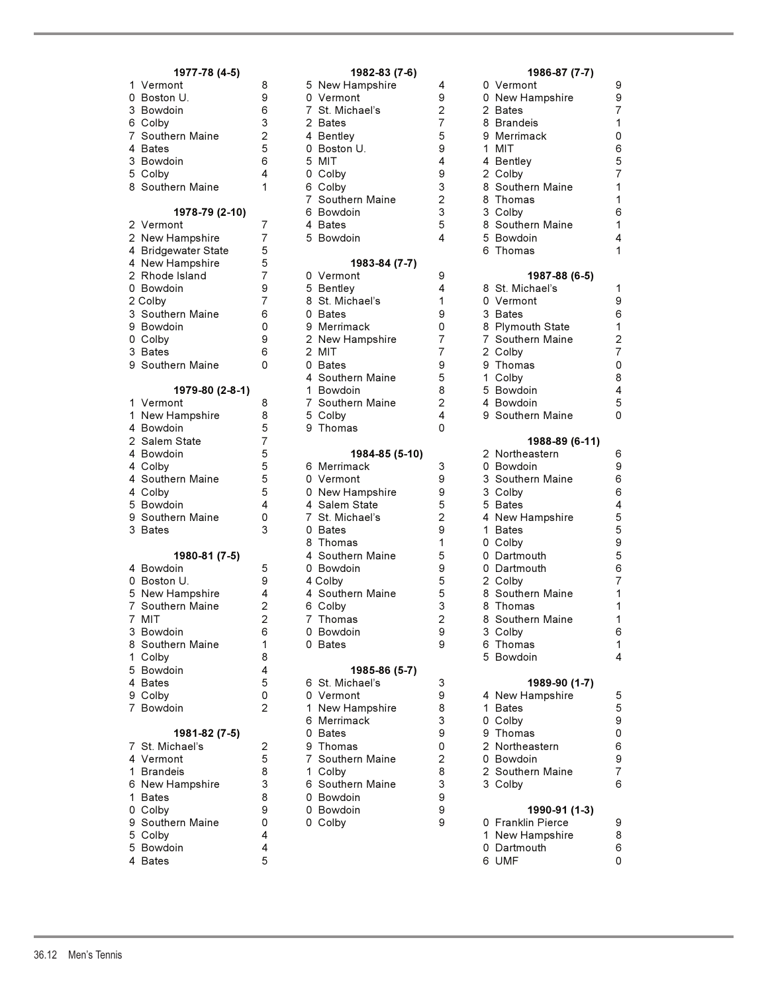| 1 Vermont           | 8              | 5 New Hampshire  | 4              | 0 Vermont         | $\boldsymbol{9}$    |
|---------------------|----------------|------------------|----------------|-------------------|---------------------|
| 0 Boston U.         | 9              | 0 Vermont        | 9              | 0 New Hampshire   | $\mathsf g$         |
| 3 Bowdoin           | 6              | 7 St. Michael's  | $\overline{c}$ | 2 Bates           | $\overline{7}$      |
| 6 Colby             | 3              | 2 Bates          | 7              | 8 Brandeis        | 1                   |
| 7 Southern Maine    | 2              | 4 Bentley        | 5              | 9 Merrimack       | 0                   |
| 4 Bates             | 5              | 0 Boston U.      | 9              | 1 MIT             | 6                   |
| 3 Bowdoin           | 6              | 5 MIT            | 4              | 4 Bentley         | 5                   |
| 5 Colby             | 4              | 0 Colby          | 9              | 2 Colby           | $\overline{7}$      |
| 8 Southern Maine    | 1              | 6 Colby          | 3              | 8 Southern Maine  | 1                   |
|                     |                | 7 Southern Maine | $\overline{c}$ | 8 Thomas          | 1                   |
| 1978-79 (2-10)      |                | 6 Bowdoin        | 3              | 3 Colby           | 6                   |
| 2 Vermont           | $\overline{7}$ | 4 Bates          | 5              | 8 Southern Maine  | 1                   |
| 2 New Hampshire     | $\overline{7}$ | 5 Bowdoin        | 4              | 5 Bowdoin         | 4                   |
| 4 Bridgewater State | 5              |                  |                | 6 Thomas          | 1                   |
| 4 New Hampshire     | 5              | 1983-84 (7-7)    |                |                   |                     |
| 2 Rhode Island      | 7              | 0 Vermont        | 9              | 1987-88 (6-5)     |                     |
| 0 Bowdoin           | 9              | 5 Bentley        | 4              | 8 St. Michael's   | 1                   |
| 2 Colby             | 7              | 8 St. Michael's  | 1              | 0 Vermont         | $\boldsymbol{9}$    |
| 3 Southern Maine    | 6              | 0 Bates          | 9              | 3 Bates           | 6                   |
| 9 Bowdoin           | 0              | 9 Merrimack      | 0              | 8 Plymouth State  | 1                   |
| 0 Colby             | 9              | 2 New Hampshire  | $\overline{7}$ | 7 Southern Maine  |                     |
| 3 Bates             | 6              | 2 MIT            | 7              | 2 Colby           | $\frac{2}{7}$       |
| 9 Southern Maine    | 0              | 0 Bates          | 9              | 9 Thomas          | $\mathsf{O}\xspace$ |
|                     |                | 4 Southern Maine | 5              | 1 Colby           | 8                   |
| 1979-80 (2-8-1)     |                | 1 Bowdoin        | 8              | 5 Bowdoin         | 4                   |
| 1 Vermont           | 8              | 7 Southern Maine | $\overline{2}$ | 4 Bowdoin         | 5                   |
| 1 New Hampshire     | 8              | 5 Colby          | 4              | 9 Southern Maine  | 0                   |
| 4 Bowdoin           | 5              | 9 Thomas         | $\Omega$       |                   |                     |
| 2 Salem State       | 7              |                  |                | 1988-89 (6-11)    |                     |
| 4 Bowdoin           | 5              | 1984-85 (5-10)   |                | 2 Northeastern    | 6                   |
| 4 Colby             | 5              | 6 Merrimack      | 3              | 0 Bowdoin         | 9                   |
| 4 Southern Maine    | 5              | 0 Vermont        | 9              | 3 Southern Maine  | 6                   |
| 4 Colby             | 5              | 0 New Hampshire  | 9              | 3 Colby           | 6                   |
| 5 Bowdoin           | 4              | 4 Salem State    | 5              | 5 Bates           | 4                   |
| 9 Southern Maine    | 0              | 7 St. Michael's  | 2              | 4 New Hampshire   | 5                   |
| 3 Bates             | 3              | 0 Bates          | 9              | 1 Bates           | 5                   |
|                     |                | 8 Thomas         | 1              | 0 Colby           | 9                   |
| 1980-81 (7-5)       |                | 4 Southern Maine | 5              | 0 Dartmouth       | 5                   |
| 4 Bowdoin           | 5              | 0 Bowdoin        | 9              | 0 Dartmouth       | 6                   |
| 0 Boston U.         | 9              | 4 Colby          | 5              | 2 Colby           | $\overline{7}$      |
| 5 New Hampshire     | 4              | 4 Southern Maine | 5              | 8 Southern Maine  | 1                   |
| 7 Southern Maine    | $\overline{2}$ | 6 Colby          | 3              | 8 Thomas          | 1                   |
| 7 MIT               | $\overline{2}$ | 7 Thomas         | $\overline{2}$ | 8 Southern Maine  | 1                   |
| 3 Bowdoin           | 6              | 0 Bowdoin        | 9              | 3 Colby           | 6                   |
| 8 Southern Maine    | 1              | 0 Bates          | 9              | 6 Ihomas          | 1                   |
| 1 Colby             | 8              |                  |                | 5 Bowdoin         | 4                   |
| 5 Bowdoin           | 4              | 1985-86 (5-7)    |                |                   |                     |
| 4 Bates             | 5              | 6 St. Michael's  | 3              | 1989-90 (1-7)     |                     |
| 9 Colby             | 0              | 0 Vermont        | 9              | 4 New Hampshire   | 5                   |
| 7 Bowdoin           | $\overline{2}$ | 1 New Hampshire  | 8              | 1 Bates           | $\mathbf 5$         |
|                     |                | 6 Merrimack      | 3              | 0 Colby           | 9                   |
| 1981-82 (7-5)       |                | 0 Bates          | 9              | 9 Thomas          | 0                   |
| 7 St. Michael's     | 2              | 9 Thomas         | 0              | 2 Northeastern    | 6                   |
| 4 Vermont           | 5              | 7 Southern Maine | $\overline{2}$ | 0 Bowdoin         | 9                   |
| 1 Brandeis          | 8              | 1 Colby          | 8              | 2 Southern Maine  | $\overline{7}$      |
| 6 New Hampshire     | 3              | 6 Southern Maine | 3              | 3 Colby           | 6                   |
| 1 Bates             | 8              | 0 Bowdoin        | 9              |                   |                     |
| 0 Colby             | 9              | 0 Bowdoin        | 9              | 1990-91 (1-3)     |                     |
| 9 Southern Maine    | 0              | 0 Colby          | 9              | 0 Franklin Pierce | 9                   |
| 5 Colby             | 4              |                  |                | 1 New Hampshire   | 8                   |
| 5 Bowdoin           | 4              |                  |                | 0 Dartmouth       | 6                   |
| 4 Bates             | 5              |                  |                | 6 UMF             | 0                   |
|                     |                |                  |                |                   |                     |

|                   |                                                                                                                                                                                                                                                                                                                                                                                                                                                                                                                                                                                                                                                                        |                                                                                                                                                                                                                                                                        | 1982-83 (7-6)    |                                                                                                                                                                                                                                                                                                                                                                                                                                                                                                                                                                                                                                                                                                                                                |                                                                                                                                                                                                                                                             | 1986-87 (7-7)     |                                                                                                                                                                                                                                                                                                                                                                                                                                                                                                                                                                                                                                                                                                                                                |
|-------------------|------------------------------------------------------------------------------------------------------------------------------------------------------------------------------------------------------------------------------------------------------------------------------------------------------------------------------------------------------------------------------------------------------------------------------------------------------------------------------------------------------------------------------------------------------------------------------------------------------------------------------------------------------------------------|------------------------------------------------------------------------------------------------------------------------------------------------------------------------------------------------------------------------------------------------------------------------|------------------|------------------------------------------------------------------------------------------------------------------------------------------------------------------------------------------------------------------------------------------------------------------------------------------------------------------------------------------------------------------------------------------------------------------------------------------------------------------------------------------------------------------------------------------------------------------------------------------------------------------------------------------------------------------------------------------------------------------------------------------------|-------------------------------------------------------------------------------------------------------------------------------------------------------------------------------------------------------------------------------------------------------------|-------------------|------------------------------------------------------------------------------------------------------------------------------------------------------------------------------------------------------------------------------------------------------------------------------------------------------------------------------------------------------------------------------------------------------------------------------------------------------------------------------------------------------------------------------------------------------------------------------------------------------------------------------------------------------------------------------------------------------------------------------------------------|
| 1 Vermont         | 8                                                                                                                                                                                                                                                                                                                                                                                                                                                                                                                                                                                                                                                                      |                                                                                                                                                                                                                                                                        |                  | 4                                                                                                                                                                                                                                                                                                                                                                                                                                                                                                                                                                                                                                                                                                                                              |                                                                                                                                                                                                                                                             |                   | 9                                                                                                                                                                                                                                                                                                                                                                                                                                                                                                                                                                                                                                                                                                                                              |
| 0 Boston U.       | 9                                                                                                                                                                                                                                                                                                                                                                                                                                                                                                                                                                                                                                                                      |                                                                                                                                                                                                                                                                        |                  | 9                                                                                                                                                                                                                                                                                                                                                                                                                                                                                                                                                                                                                                                                                                                                              |                                                                                                                                                                                                                                                             |                   | 9                                                                                                                                                                                                                                                                                                                                                                                                                                                                                                                                                                                                                                                                                                                                              |
| 3 Bowdoin         | 6                                                                                                                                                                                                                                                                                                                                                                                                                                                                                                                                                                                                                                                                      |                                                                                                                                                                                                                                                                        |                  |                                                                                                                                                                                                                                                                                                                                                                                                                                                                                                                                                                                                                                                                                                                                                |                                                                                                                                                                                                                                                             |                   | $\overline{7}$                                                                                                                                                                                                                                                                                                                                                                                                                                                                                                                                                                                                                                                                                                                                 |
|                   |                                                                                                                                                                                                                                                                                                                                                                                                                                                                                                                                                                                                                                                                        |                                                                                                                                                                                                                                                                        |                  |                                                                                                                                                                                                                                                                                                                                                                                                                                                                                                                                                                                                                                                                                                                                                |                                                                                                                                                                                                                                                             |                   | $\mathbf{1}$                                                                                                                                                                                                                                                                                                                                                                                                                                                                                                                                                                                                                                                                                                                                   |
|                   |                                                                                                                                                                                                                                                                                                                                                                                                                                                                                                                                                                                                                                                                        |                                                                                                                                                                                                                                                                        |                  |                                                                                                                                                                                                                                                                                                                                                                                                                                                                                                                                                                                                                                                                                                                                                |                                                                                                                                                                                                                                                             |                   | 0                                                                                                                                                                                                                                                                                                                                                                                                                                                                                                                                                                                                                                                                                                                                              |
|                   |                                                                                                                                                                                                                                                                                                                                                                                                                                                                                                                                                                                                                                                                        |                                                                                                                                                                                                                                                                        |                  |                                                                                                                                                                                                                                                                                                                                                                                                                                                                                                                                                                                                                                                                                                                                                |                                                                                                                                                                                                                                                             |                   | 6                                                                                                                                                                                                                                                                                                                                                                                                                                                                                                                                                                                                                                                                                                                                              |
|                   |                                                                                                                                                                                                                                                                                                                                                                                                                                                                                                                                                                                                                                                                        |                                                                                                                                                                                                                                                                        |                  |                                                                                                                                                                                                                                                                                                                                                                                                                                                                                                                                                                                                                                                                                                                                                |                                                                                                                                                                                                                                                             |                   | 5                                                                                                                                                                                                                                                                                                                                                                                                                                                                                                                                                                                                                                                                                                                                              |
|                   |                                                                                                                                                                                                                                                                                                                                                                                                                                                                                                                                                                                                                                                                        |                                                                                                                                                                                                                                                                        |                  |                                                                                                                                                                                                                                                                                                                                                                                                                                                                                                                                                                                                                                                                                                                                                |                                                                                                                                                                                                                                                             |                   | $\overline{7}$                                                                                                                                                                                                                                                                                                                                                                                                                                                                                                                                                                                                                                                                                                                                 |
|                   |                                                                                                                                                                                                                                                                                                                                                                                                                                                                                                                                                                                                                                                                        |                                                                                                                                                                                                                                                                        |                  |                                                                                                                                                                                                                                                                                                                                                                                                                                                                                                                                                                                                                                                                                                                                                |                                                                                                                                                                                                                                                             |                   | 1                                                                                                                                                                                                                                                                                                                                                                                                                                                                                                                                                                                                                                                                                                                                              |
|                   |                                                                                                                                                                                                                                                                                                                                                                                                                                                                                                                                                                                                                                                                        |                                                                                                                                                                                                                                                                        |                  |                                                                                                                                                                                                                                                                                                                                                                                                                                                                                                                                                                                                                                                                                                                                                |                                                                                                                                                                                                                                                             |                   | $\mathbf{1}$                                                                                                                                                                                                                                                                                                                                                                                                                                                                                                                                                                                                                                                                                                                                   |
|                   |                                                                                                                                                                                                                                                                                                                                                                                                                                                                                                                                                                                                                                                                        |                                                                                                                                                                                                                                                                        |                  |                                                                                                                                                                                                                                                                                                                                                                                                                                                                                                                                                                                                                                                                                                                                                |                                                                                                                                                                                                                                                             |                   |                                                                                                                                                                                                                                                                                                                                                                                                                                                                                                                                                                                                                                                                                                                                                |
|                   |                                                                                                                                                                                                                                                                                                                                                                                                                                                                                                                                                                                                                                                                        |                                                                                                                                                                                                                                                                        |                  |                                                                                                                                                                                                                                                                                                                                                                                                                                                                                                                                                                                                                                                                                                                                                |                                                                                                                                                                                                                                                             |                   | 6                                                                                                                                                                                                                                                                                                                                                                                                                                                                                                                                                                                                                                                                                                                                              |
|                   |                                                                                                                                                                                                                                                                                                                                                                                                                                                                                                                                                                                                                                                                        |                                                                                                                                                                                                                                                                        |                  |                                                                                                                                                                                                                                                                                                                                                                                                                                                                                                                                                                                                                                                                                                                                                |                                                                                                                                                                                                                                                             |                   | 1                                                                                                                                                                                                                                                                                                                                                                                                                                                                                                                                                                                                                                                                                                                                              |
|                   |                                                                                                                                                                                                                                                                                                                                                                                                                                                                                                                                                                                                                                                                        |                                                                                                                                                                                                                                                                        |                  |                                                                                                                                                                                                                                                                                                                                                                                                                                                                                                                                                                                                                                                                                                                                                |                                                                                                                                                                                                                                                             |                   | 4                                                                                                                                                                                                                                                                                                                                                                                                                                                                                                                                                                                                                                                                                                                                              |
|                   |                                                                                                                                                                                                                                                                                                                                                                                                                                                                                                                                                                                                                                                                        |                                                                                                                                                                                                                                                                        |                  |                                                                                                                                                                                                                                                                                                                                                                                                                                                                                                                                                                                                                                                                                                                                                |                                                                                                                                                                                                                                                             |                   | 1                                                                                                                                                                                                                                                                                                                                                                                                                                                                                                                                                                                                                                                                                                                                              |
|                   |                                                                                                                                                                                                                                                                                                                                                                                                                                                                                                                                                                                                                                                                        |                                                                                                                                                                                                                                                                        |                  |                                                                                                                                                                                                                                                                                                                                                                                                                                                                                                                                                                                                                                                                                                                                                |                                                                                                                                                                                                                                                             |                   |                                                                                                                                                                                                                                                                                                                                                                                                                                                                                                                                                                                                                                                                                                                                                |
|                   |                                                                                                                                                                                                                                                                                                                                                                                                                                                                                                                                                                                                                                                                        |                                                                                                                                                                                                                                                                        |                  |                                                                                                                                                                                                                                                                                                                                                                                                                                                                                                                                                                                                                                                                                                                                                |                                                                                                                                                                                                                                                             |                   |                                                                                                                                                                                                                                                                                                                                                                                                                                                                                                                                                                                                                                                                                                                                                |
|                   |                                                                                                                                                                                                                                                                                                                                                                                                                                                                                                                                                                                                                                                                        |                                                                                                                                                                                                                                                                        |                  |                                                                                                                                                                                                                                                                                                                                                                                                                                                                                                                                                                                                                                                                                                                                                |                                                                                                                                                                                                                                                             |                   | 1                                                                                                                                                                                                                                                                                                                                                                                                                                                                                                                                                                                                                                                                                                                                              |
|                   |                                                                                                                                                                                                                                                                                                                                                                                                                                                                                                                                                                                                                                                                        |                                                                                                                                                                                                                                                                        |                  |                                                                                                                                                                                                                                                                                                                                                                                                                                                                                                                                                                                                                                                                                                                                                |                                                                                                                                                                                                                                                             |                   | 9                                                                                                                                                                                                                                                                                                                                                                                                                                                                                                                                                                                                                                                                                                                                              |
|                   | 6                                                                                                                                                                                                                                                                                                                                                                                                                                                                                                                                                                                                                                                                      |                                                                                                                                                                                                                                                                        |                  |                                                                                                                                                                                                                                                                                                                                                                                                                                                                                                                                                                                                                                                                                                                                                |                                                                                                                                                                                                                                                             |                   | 6                                                                                                                                                                                                                                                                                                                                                                                                                                                                                                                                                                                                                                                                                                                                              |
| 9 Bowdoin         | 0                                                                                                                                                                                                                                                                                                                                                                                                                                                                                                                                                                                                                                                                      |                                                                                                                                                                                                                                                                        |                  | 0                                                                                                                                                                                                                                                                                                                                                                                                                                                                                                                                                                                                                                                                                                                                              |                                                                                                                                                                                                                                                             |                   | $\mathbf{1}$                                                                                                                                                                                                                                                                                                                                                                                                                                                                                                                                                                                                                                                                                                                                   |
| 0 Colby           | 9                                                                                                                                                                                                                                                                                                                                                                                                                                                                                                                                                                                                                                                                      |                                                                                                                                                                                                                                                                        |                  |                                                                                                                                                                                                                                                                                                                                                                                                                                                                                                                                                                                                                                                                                                                                                |                                                                                                                                                                                                                                                             |                   | $\mathbf 2$                                                                                                                                                                                                                                                                                                                                                                                                                                                                                                                                                                                                                                                                                                                                    |
| 3 Bates           | 6                                                                                                                                                                                                                                                                                                                                                                                                                                                                                                                                                                                                                                                                      |                                                                                                                                                                                                                                                                        |                  | 7                                                                                                                                                                                                                                                                                                                                                                                                                                                                                                                                                                                                                                                                                                                                              |                                                                                                                                                                                                                                                             |                   | $\overline{7}$                                                                                                                                                                                                                                                                                                                                                                                                                                                                                                                                                                                                                                                                                                                                 |
| 9 Southern Maine  | 0                                                                                                                                                                                                                                                                                                                                                                                                                                                                                                                                                                                                                                                                      |                                                                                                                                                                                                                                                                        |                  | 9                                                                                                                                                                                                                                                                                                                                                                                                                                                                                                                                                                                                                                                                                                                                              |                                                                                                                                                                                                                                                             |                   | $\mathbf 0$                                                                                                                                                                                                                                                                                                                                                                                                                                                                                                                                                                                                                                                                                                                                    |
|                   |                                                                                                                                                                                                                                                                                                                                                                                                                                                                                                                                                                                                                                                                        |                                                                                                                                                                                                                                                                        |                  | 5                                                                                                                                                                                                                                                                                                                                                                                                                                                                                                                                                                                                                                                                                                                                              |                                                                                                                                                                                                                                                             |                   | 8                                                                                                                                                                                                                                                                                                                                                                                                                                                                                                                                                                                                                                                                                                                                              |
|                   |                                                                                                                                                                                                                                                                                                                                                                                                                                                                                                                                                                                                                                                                        |                                                                                                                                                                                                                                                                        |                  | 8                                                                                                                                                                                                                                                                                                                                                                                                                                                                                                                                                                                                                                                                                                                                              |                                                                                                                                                                                                                                                             |                   | 4                                                                                                                                                                                                                                                                                                                                                                                                                                                                                                                                                                                                                                                                                                                                              |
| 1 Vermont         | 8                                                                                                                                                                                                                                                                                                                                                                                                                                                                                                                                                                                                                                                                      |                                                                                                                                                                                                                                                                        |                  |                                                                                                                                                                                                                                                                                                                                                                                                                                                                                                                                                                                                                                                                                                                                                |                                                                                                                                                                                                                                                             |                   | 5                                                                                                                                                                                                                                                                                                                                                                                                                                                                                                                                                                                                                                                                                                                                              |
|                   |                                                                                                                                                                                                                                                                                                                                                                                                                                                                                                                                                                                                                                                                        |                                                                                                                                                                                                                                                                        |                  | 4                                                                                                                                                                                                                                                                                                                                                                                                                                                                                                                                                                                                                                                                                                                                              |                                                                                                                                                                                                                                                             |                   | 0                                                                                                                                                                                                                                                                                                                                                                                                                                                                                                                                                                                                                                                                                                                                              |
|                   | 5                                                                                                                                                                                                                                                                                                                                                                                                                                                                                                                                                                                                                                                                      |                                                                                                                                                                                                                                                                        |                  | 0                                                                                                                                                                                                                                                                                                                                                                                                                                                                                                                                                                                                                                                                                                                                              |                                                                                                                                                                                                                                                             |                   |                                                                                                                                                                                                                                                                                                                                                                                                                                                                                                                                                                                                                                                                                                                                                |
|                   |                                                                                                                                                                                                                                                                                                                                                                                                                                                                                                                                                                                                                                                                        |                                                                                                                                                                                                                                                                        |                  |                                                                                                                                                                                                                                                                                                                                                                                                                                                                                                                                                                                                                                                                                                                                                |                                                                                                                                                                                                                                                             |                   |                                                                                                                                                                                                                                                                                                                                                                                                                                                                                                                                                                                                                                                                                                                                                |
|                   |                                                                                                                                                                                                                                                                                                                                                                                                                                                                                                                                                                                                                                                                        |                                                                                                                                                                                                                                                                        |                  |                                                                                                                                                                                                                                                                                                                                                                                                                                                                                                                                                                                                                                                                                                                                                |                                                                                                                                                                                                                                                             |                   | 6                                                                                                                                                                                                                                                                                                                                                                                                                                                                                                                                                                                                                                                                                                                                              |
|                   |                                                                                                                                                                                                                                                                                                                                                                                                                                                                                                                                                                                                                                                                        |                                                                                                                                                                                                                                                                        |                  |                                                                                                                                                                                                                                                                                                                                                                                                                                                                                                                                                                                                                                                                                                                                                |                                                                                                                                                                                                                                                             |                   | 9                                                                                                                                                                                                                                                                                                                                                                                                                                                                                                                                                                                                                                                                                                                                              |
|                   |                                                                                                                                                                                                                                                                                                                                                                                                                                                                                                                                                                                                                                                                        |                                                                                                                                                                                                                                                                        |                  |                                                                                                                                                                                                                                                                                                                                                                                                                                                                                                                                                                                                                                                                                                                                                |                                                                                                                                                                                                                                                             |                   | 6                                                                                                                                                                                                                                                                                                                                                                                                                                                                                                                                                                                                                                                                                                                                              |
|                   |                                                                                                                                                                                                                                                                                                                                                                                                                                                                                                                                                                                                                                                                        |                                                                                                                                                                                                                                                                        |                  |                                                                                                                                                                                                                                                                                                                                                                                                                                                                                                                                                                                                                                                                                                                                                |                                                                                                                                                                                                                                                             |                   | 6                                                                                                                                                                                                                                                                                                                                                                                                                                                                                                                                                                                                                                                                                                                                              |
|                   |                                                                                                                                                                                                                                                                                                                                                                                                                                                                                                                                                                                                                                                                        |                                                                                                                                                                                                                                                                        |                  |                                                                                                                                                                                                                                                                                                                                                                                                                                                                                                                                                                                                                                                                                                                                                |                                                                                                                                                                                                                                                             |                   | 4                                                                                                                                                                                                                                                                                                                                                                                                                                                                                                                                                                                                                                                                                                                                              |
|                   |                                                                                                                                                                                                                                                                                                                                                                                                                                                                                                                                                                                                                                                                        |                                                                                                                                                                                                                                                                        |                  |                                                                                                                                                                                                                                                                                                                                                                                                                                                                                                                                                                                                                                                                                                                                                |                                                                                                                                                                                                                                                             |                   | 5                                                                                                                                                                                                                                                                                                                                                                                                                                                                                                                                                                                                                                                                                                                                              |
|                   |                                                                                                                                                                                                                                                                                                                                                                                                                                                                                                                                                                                                                                                                        |                                                                                                                                                                                                                                                                        |                  |                                                                                                                                                                                                                                                                                                                                                                                                                                                                                                                                                                                                                                                                                                                                                |                                                                                                                                                                                                                                                             |                   | 5                                                                                                                                                                                                                                                                                                                                                                                                                                                                                                                                                                                                                                                                                                                                              |
|                   |                                                                                                                                                                                                                                                                                                                                                                                                                                                                                                                                                                                                                                                                        |                                                                                                                                                                                                                                                                        |                  |                                                                                                                                                                                                                                                                                                                                                                                                                                                                                                                                                                                                                                                                                                                                                |                                                                                                                                                                                                                                                             |                   | 9                                                                                                                                                                                                                                                                                                                                                                                                                                                                                                                                                                                                                                                                                                                                              |
|                   |                                                                                                                                                                                                                                                                                                                                                                                                                                                                                                                                                                                                                                                                        |                                                                                                                                                                                                                                                                        |                  |                                                                                                                                                                                                                                                                                                                                                                                                                                                                                                                                                                                                                                                                                                                                                |                                                                                                                                                                                                                                                             |                   | 5                                                                                                                                                                                                                                                                                                                                                                                                                                                                                                                                                                                                                                                                                                                                              |
|                   |                                                                                                                                                                                                                                                                                                                                                                                                                                                                                                                                                                                                                                                                        |                                                                                                                                                                                                                                                                        |                  |                                                                                                                                                                                                                                                                                                                                                                                                                                                                                                                                                                                                                                                                                                                                                |                                                                                                                                                                                                                                                             |                   | 6                                                                                                                                                                                                                                                                                                                                                                                                                                                                                                                                                                                                                                                                                                                                              |
|                   |                                                                                                                                                                                                                                                                                                                                                                                                                                                                                                                                                                                                                                                                        |                                                                                                                                                                                                                                                                        |                  |                                                                                                                                                                                                                                                                                                                                                                                                                                                                                                                                                                                                                                                                                                                                                |                                                                                                                                                                                                                                                             |                   | $\overline{7}$                                                                                                                                                                                                                                                                                                                                                                                                                                                                                                                                                                                                                                                                                                                                 |
|                   |                                                                                                                                                                                                                                                                                                                                                                                                                                                                                                                                                                                                                                                                        |                                                                                                                                                                                                                                                                        |                  |                                                                                                                                                                                                                                                                                                                                                                                                                                                                                                                                                                                                                                                                                                                                                |                                                                                                                                                                                                                                                             |                   |                                                                                                                                                                                                                                                                                                                                                                                                                                                                                                                                                                                                                                                                                                                                                |
|                   |                                                                                                                                                                                                                                                                                                                                                                                                                                                                                                                                                                                                                                                                        |                                                                                                                                                                                                                                                                        |                  |                                                                                                                                                                                                                                                                                                                                                                                                                                                                                                                                                                                                                                                                                                                                                |                                                                                                                                                                                                                                                             |                   | 1<br>$\mathbf{1}$                                                                                                                                                                                                                                                                                                                                                                                                                                                                                                                                                                                                                                                                                                                              |
|                   |                                                                                                                                                                                                                                                                                                                                                                                                                                                                                                                                                                                                                                                                        |                                                                                                                                                                                                                                                                        |                  |                                                                                                                                                                                                                                                                                                                                                                                                                                                                                                                                                                                                                                                                                                                                                |                                                                                                                                                                                                                                                             |                   |                                                                                                                                                                                                                                                                                                                                                                                                                                                                                                                                                                                                                                                                                                                                                |
|                   |                                                                                                                                                                                                                                                                                                                                                                                                                                                                                                                                                                                                                                                                        |                                                                                                                                                                                                                                                                        |                  |                                                                                                                                                                                                                                                                                                                                                                                                                                                                                                                                                                                                                                                                                                                                                |                                                                                                                                                                                                                                                             |                   | 1                                                                                                                                                                                                                                                                                                                                                                                                                                                                                                                                                                                                                                                                                                                                              |
|                   |                                                                                                                                                                                                                                                                                                                                                                                                                                                                                                                                                                                                                                                                        |                                                                                                                                                                                                                                                                        |                  |                                                                                                                                                                                                                                                                                                                                                                                                                                                                                                                                                                                                                                                                                                                                                |                                                                                                                                                                                                                                                             |                   | 6                                                                                                                                                                                                                                                                                                                                                                                                                                                                                                                                                                                                                                                                                                                                              |
|                   |                                                                                                                                                                                                                                                                                                                                                                                                                                                                                                                                                                                                                                                                        |                                                                                                                                                                                                                                                                        |                  |                                                                                                                                                                                                                                                                                                                                                                                                                                                                                                                                                                                                                                                                                                                                                |                                                                                                                                                                                                                                                             |                   | 1                                                                                                                                                                                                                                                                                                                                                                                                                                                                                                                                                                                                                                                                                                                                              |
|                   |                                                                                                                                                                                                                                                                                                                                                                                                                                                                                                                                                                                                                                                                        |                                                                                                                                                                                                                                                                        |                  |                                                                                                                                                                                                                                                                                                                                                                                                                                                                                                                                                                                                                                                                                                                                                |                                                                                                                                                                                                                                                             |                   | 4                                                                                                                                                                                                                                                                                                                                                                                                                                                                                                                                                                                                                                                                                                                                              |
|                   |                                                                                                                                                                                                                                                                                                                                                                                                                                                                                                                                                                                                                                                                        |                                                                                                                                                                                                                                                                        |                  |                                                                                                                                                                                                                                                                                                                                                                                                                                                                                                                                                                                                                                                                                                                                                |                                                                                                                                                                                                                                                             |                   |                                                                                                                                                                                                                                                                                                                                                                                                                                                                                                                                                                                                                                                                                                                                                |
|                   |                                                                                                                                                                                                                                                                                                                                                                                                                                                                                                                                                                                                                                                                        |                                                                                                                                                                                                                                                                        |                  |                                                                                                                                                                                                                                                                                                                                                                                                                                                                                                                                                                                                                                                                                                                                                |                                                                                                                                                                                                                                                             |                   |                                                                                                                                                                                                                                                                                                                                                                                                                                                                                                                                                                                                                                                                                                                                                |
|                   |                                                                                                                                                                                                                                                                                                                                                                                                                                                                                                                                                                                                                                                                        |                                                                                                                                                                                                                                                                        |                  |                                                                                                                                                                                                                                                                                                                                                                                                                                                                                                                                                                                                                                                                                                                                                |                                                                                                                                                                                                                                                             |                   | 5                                                                                                                                                                                                                                                                                                                                                                                                                                                                                                                                                                                                                                                                                                                                              |
|                   |                                                                                                                                                                                                                                                                                                                                                                                                                                                                                                                                                                                                                                                                        |                                                                                                                                                                                                                                                                        |                  |                                                                                                                                                                                                                                                                                                                                                                                                                                                                                                                                                                                                                                                                                                                                                |                                                                                                                                                                                                                                                             |                   | 5                                                                                                                                                                                                                                                                                                                                                                                                                                                                                                                                                                                                                                                                                                                                              |
|                   |                                                                                                                                                                                                                                                                                                                                                                                                                                                                                                                                                                                                                                                                        |                                                                                                                                                                                                                                                                        |                  |                                                                                                                                                                                                                                                                                                                                                                                                                                                                                                                                                                                                                                                                                                                                                |                                                                                                                                                                                                                                                             |                   | 9                                                                                                                                                                                                                                                                                                                                                                                                                                                                                                                                                                                                                                                                                                                                              |
|                   |                                                                                                                                                                                                                                                                                                                                                                                                                                                                                                                                                                                                                                                                        |                                                                                                                                                                                                                                                                        |                  |                                                                                                                                                                                                                                                                                                                                                                                                                                                                                                                                                                                                                                                                                                                                                |                                                                                                                                                                                                                                                             |                   | 0                                                                                                                                                                                                                                                                                                                                                                                                                                                                                                                                                                                                                                                                                                                                              |
|                   |                                                                                                                                                                                                                                                                                                                                                                                                                                                                                                                                                                                                                                                                        |                                                                                                                                                                                                                                                                        |                  |                                                                                                                                                                                                                                                                                                                                                                                                                                                                                                                                                                                                                                                                                                                                                |                                                                                                                                                                                                                                                             |                   | 6                                                                                                                                                                                                                                                                                                                                                                                                                                                                                                                                                                                                                                                                                                                                              |
|                   |                                                                                                                                                                                                                                                                                                                                                                                                                                                                                                                                                                                                                                                                        |                                                                                                                                                                                                                                                                        |                  | 2                                                                                                                                                                                                                                                                                                                                                                                                                                                                                                                                                                                                                                                                                                                                              |                                                                                                                                                                                                                                                             |                   | 9                                                                                                                                                                                                                                                                                                                                                                                                                                                                                                                                                                                                                                                                                                                                              |
| 4 Vermont         | 5                                                                                                                                                                                                                                                                                                                                                                                                                                                                                                                                                                                                                                                                      |                                                                                                                                                                                                                                                                        | 7 Southern Maine |                                                                                                                                                                                                                                                                                                                                                                                                                                                                                                                                                                                                                                                                                                                                                |                                                                                                                                                                                                                                                             | 0 Bowdoin         |                                                                                                                                                                                                                                                                                                                                                                                                                                                                                                                                                                                                                                                                                                                                                |
| 1 Brandeis        | 8                                                                                                                                                                                                                                                                                                                                                                                                                                                                                                                                                                                                                                                                      |                                                                                                                                                                                                                                                                        | 1 Colby          | 8                                                                                                                                                                                                                                                                                                                                                                                                                                                                                                                                                                                                                                                                                                                                              |                                                                                                                                                                                                                                                             | 2 Southern Maine  | $\overline{7}$                                                                                                                                                                                                                                                                                                                                                                                                                                                                                                                                                                                                                                                                                                                                 |
| 6 New Hampshire   | 3                                                                                                                                                                                                                                                                                                                                                                                                                                                                                                                                                                                                                                                                      |                                                                                                                                                                                                                                                                        | 6 Southern Maine | 3                                                                                                                                                                                                                                                                                                                                                                                                                                                                                                                                                                                                                                                                                                                                              |                                                                                                                                                                                                                                                             | 3 Colby           | 6                                                                                                                                                                                                                                                                                                                                                                                                                                                                                                                                                                                                                                                                                                                                              |
| 1 Bates           | 8                                                                                                                                                                                                                                                                                                                                                                                                                                                                                                                                                                                                                                                                      |                                                                                                                                                                                                                                                                        | 0 Bowdoin        | 9                                                                                                                                                                                                                                                                                                                                                                                                                                                                                                                                                                                                                                                                                                                                              |                                                                                                                                                                                                                                                             |                   |                                                                                                                                                                                                                                                                                                                                                                                                                                                                                                                                                                                                                                                                                                                                                |
| 0 Colby           | 9                                                                                                                                                                                                                                                                                                                                                                                                                                                                                                                                                                                                                                                                      |                                                                                                                                                                                                                                                                        | 0 Bowdoin        | 9                                                                                                                                                                                                                                                                                                                                                                                                                                                                                                                                                                                                                                                                                                                                              |                                                                                                                                                                                                                                                             | 1990-91 (1-3)     |                                                                                                                                                                                                                                                                                                                                                                                                                                                                                                                                                                                                                                                                                                                                                |
| 9  Southern Maine | 0                                                                                                                                                                                                                                                                                                                                                                                                                                                                                                                                                                                                                                                                      |                                                                                                                                                                                                                                                                        | 0 Colby          | 9                                                                                                                                                                                                                                                                                                                                                                                                                                                                                                                                                                                                                                                                                                                                              |                                                                                                                                                                                                                                                             | 0 Franklin Pierce | 9                                                                                                                                                                                                                                                                                                                                                                                                                                                                                                                                                                                                                                                                                                                                              |
| 5 Colby           | 4                                                                                                                                                                                                                                                                                                                                                                                                                                                                                                                                                                                                                                                                      |                                                                                                                                                                                                                                                                        |                  |                                                                                                                                                                                                                                                                                                                                                                                                                                                                                                                                                                                                                                                                                                                                                |                                                                                                                                                                                                                                                             | 1 New Hampshire   | 8                                                                                                                                                                                                                                                                                                                                                                                                                                                                                                                                                                                                                                                                                                                                              |
|                   | 1977-78 (4-5)<br>6 Colby<br>7 Southern Maine<br>4 Bates<br>3 Bowdoin<br>5 Colby<br>8  Southern Maine<br>1978-79 (2-10)<br>2 Vermont<br>2 New Hampshire<br>4 Bridgewater State<br>4 New Hampshire<br>2 Rhode Island<br>0 Bowdoin<br>2 Colby<br>3 Southern Maine<br>1979-80 (2-8-1)<br>1 New Hampshire<br>4 Bowdoin<br>2  Salem State<br>4 Bowdoin<br>4 Colby<br>4  Southern Maine<br>4 Colby<br>5 Bowdoin<br>9  Southern Maine<br>3 Bates<br>1980-81 (7-5)<br>4 Bowdoin<br>0 Boston U.<br>5 New Hampshire<br>7  Southern Maine<br>7 MIT<br>3 Bowdoin<br>8 Southern Maine<br>1 Colby<br>5 Bowdoin<br>4 Bates<br>9 Colby<br>7 Bowdoin<br>1981-82 (7-5)<br>7 St. Michael's | 3<br>$\overline{c}$<br>5<br>6<br>4<br>1<br>7<br>$\overline{7}$<br>5<br>5<br>$\overline{7}$<br>9<br>$\overline{7}$<br>8<br>$\overline{7}$<br>5<br>5<br>5<br>5<br>4<br>0<br>3<br>5<br>9<br>4<br>2<br>$\overline{2}$<br>6<br>1<br>8<br>4<br>5<br>0<br>$\overline{2}$<br>2 |                  | 5 New Hampshire<br>0 Vermont<br>7 St. Michael's<br>2 Bates<br>4 Bentley<br>0 Boston U.<br>5 MIT<br>0 Colby<br>6 Colby<br>7 Southern Maine<br>6 Bowdoin<br>4 Bates<br>5 Bowdoin<br>1983-84 (7-7)<br>0 Vermont<br>5 Bentley<br>8 St. Michael's<br>0 Bates<br>9 Merrimack<br>2 New Hampshire<br>2 MIT<br>0 Bates<br>4 Southern Maine<br>1 Bowdoin<br>7 Southern Maine<br>5 Colby<br>9 Thomas<br>1984-85 (5-10)<br>6 Merrimack<br>0 Vermont<br>0 New Hampshire<br>4 Salem State<br>7 St. Michael's<br>0 Bates<br>8 Thomas<br>4 Southern Maine<br>0 Bowdoin<br>4 Colby<br>4 Southern Maine<br>6 Colby<br>7 Thomas<br>0 Bowdoin<br>0 Bates<br>1985-86 (5-7)<br>6 St. Michael's<br>0 Vermont<br>1 New Hampshire<br>6 Merrimack<br>0 Bates<br>9 Thomas | 2<br>$\overline{7}$<br>5<br>9<br>4<br>9<br>3<br>$\overline{c}$<br>3<br>5<br>4<br>9<br>4<br>1<br>9<br>$\overline{7}$<br>$\overline{c}$<br>3<br>9<br>9<br>5<br>2<br>9<br>1<br>5<br>9<br>5<br>5<br>3<br>$\overline{2}$<br>9<br>9<br>3<br>9<br>8<br>3<br>9<br>0 |                   | 0 Vermont<br>0 New Hampshire<br>2 Bates<br>8 Brandeis<br>9 Merrimack<br>1 MIT<br>4 Bentley<br>2 Colby<br>8 Southern Maine<br>8 Thomas<br>3 Colby<br>8 Southern Maine<br>5 Bowdoin<br>6 Thomas<br>1987-88 (6-5)<br>8 St. Michael's<br>0 Vermont<br>3 Bates<br>8 Plymouth State<br>7 Southern Maine<br>2 Colby<br>9 Thomas<br>1 Colby<br>5 Bowdoin<br>4 Bowdoin<br>9 Southern Maine<br>1988-89 (6-11)<br>2 Northeastern<br>0 Bowdoin<br>3 Southern Maine<br>3 Colby<br>5 Bates<br>4 New Hampshire<br>1 Bates<br>0 Colby<br>0 Dartmouth<br>0 Dartmouth<br>2 Colby<br>8 Southern Maine<br>8 Thomas<br>8 Southern Maine<br>3 Colby<br>6 Thomas<br>5 Bowdoin<br>1989-90 (1-7)<br>4 New Hampshire<br>1 Bates<br>0 Colby<br>9 Thomas<br>2 Northeastern |

| 1 Vermont                    | 8              | 5 New Hampshire  | 4              | 0 Vermont               | 9              |
|------------------------------|----------------|------------------|----------------|-------------------------|----------------|
| 0 Boston U.                  | 9              | 0 Vermont        | 9              | 0 New Hampshire         | 9              |
| 3 Bowdoin                    | 6              | 7 St. Michael's  | $\overline{c}$ | 2 Bates                 | $\overline{7}$ |
| 6 Colby                      | 3              | 2 Bates          | $\overline{7}$ | 8 Brandeis              | 1              |
| 7  Southern Maine            | $\overline{c}$ | 4 Bentley        | 5              | 9 Merrimack             | 0              |
|                              | 5              |                  |                |                         |                |
| 4 Bates                      |                | 0 Boston U.      | 9              | 1 MIT                   | 6              |
| 3 Bowdoin                    | 6              | 5 MIT            | 4              | 4 Bentley               | 5              |
| 5 Colby                      | 4              | 0 Colby          | 9              | 2 Colby                 | $\overline{7}$ |
| 8 Southern Maine             | 1              | 6 Colby          | 3              | 8 Southern Maine        | 1              |
|                              |                | 7 Southern Maine | $\overline{c}$ | 8 Thomas                | 1              |
| 1978-79 (2-10)               |                | 6 Bowdoin        | 3              | 3 Colby                 | 6              |
| 2 Vermont                    | 7              | 4 Bates          | 5              | 8 Southern Maine        | 1              |
| 2 New Hampshire              | $\overline{7}$ | 5 Bowdoin        | 4              | 5 Bowdoin               | 4              |
| 4 Bridgewater State          | 5              |                  |                | 6 Thomas                | 1              |
| 4 New Hampshire              | 5              | 1983-84 (7-7)    |                |                         |                |
| 2 Rhode Island               | $\overline{7}$ | 0 Vermont        | 9              | 1987-88 (6-5)           |                |
| 0 Bowdoin                    | 9              | 5 Bentley        | 4              | 8 St. Michael's         | 1              |
| 2 Colby                      | $\overline{7}$ | 8 St. Michael's  | 1              | 0 Vermont               | 9              |
|                              | 6              |                  |                |                         | 6              |
| 3 Southern Maine             |                | 0 Bates          | 9              | 3 Bates                 |                |
| 9 Bowdoin                    | 0              | 9 Merrimack      | 0              | 8 Plymouth State        | 1              |
| 0 Colby                      | 9              | 2 New Hampshire  | $\overline{7}$ | 7 Southern Maine        | $\overline{c}$ |
| 3 Bates                      | 6              | 2 MIT            | $\overline{7}$ | 2 Colby                 | 7              |
| 9  Southern Maine            | 0              | 0 Bates          | 9              | 9 Thomas                | 0              |
|                              |                | 4 Southern Maine | 5              | 1 Colby                 | 8              |
| 1979-80 (2-8-1)              |                | 1 Bowdoin        | 8              | 5 Bowdoin               | 4              |
| 1 Vermont                    | 8              | 7 Southern Maine | 2              | 4 Bowdoin               | 5              |
| 1 New Hampshire              | 8              | 5 Colby          | 4              | 9 Southern Maine        | $\Omega$       |
| 4 Bowdoin                    | 5              | 9 Thomas         | 0              |                         |                |
| 2 Salem State                | $\overline{7}$ |                  |                | 1988-89 (6-11)          |                |
| 4 Bowdoin                    | 5              |                  |                | 2 Northeastern          | 6              |
|                              | 5              | 1984-85 (5-10)   | 3              |                         | 9              |
| 4 Colby                      |                | 6 Merrimack      |                | 0 Bowdoin               |                |
| 4 Southern Maine             | 5              | 0 Vermont        | 9              | 3 Southern Maine        | 6              |
| 4 Colby                      | 5              | 0 New Hampshire  | 9              | 3 Colby                 | 6              |
| 5 Bowdoin                    | 4              | 4 Salem State    | 5              | 5 Bates                 | $\overline{4}$ |
| 9 Southern Maine             | 0              | 7 St. Michael's  | $\overline{c}$ | 4 New Hampshire         | 5              |
| 3 Bates                      | 3              | 0 Bates          | 9              | 1 Bates                 | 5              |
|                              |                | 8 Thomas         | 1              | 0 Colby                 | 9              |
| 1980-81 (7-5)                |                | 4 Southern Maine | 5              | 0 Dartmouth             | 5              |
| 4 Bowdoin                    | 5              | 0 Bowdoin        | 9              | 0 Dartmouth             | 6              |
| 0 Boston U.                  | 9              | 4 Colby          | 5              | 2 Colby                 | $\overline{7}$ |
| 5 New Hampshire              | $\overline{4}$ | 4 Southern Maine | 5              | 8 Southern Maine        | 1              |
| 7 Southern Maine             | $\overline{c}$ | 6 Colby          | 3              | 8 Thomas                | 1              |
| 7 MIT                        | $\overline{c}$ | 7 Thomas         | 2              | 8 Southern Maine        | 1              |
| 3 Bowdoin                    | 6              | 0 Bowdoin        | 9              | 3 Colby                 | 6              |
| 8 Southern Maine             | $\mathbf{1}$   |                  | 9              |                         | $\mathbf{1}$   |
|                              |                | 0 Bates          |                | 6 Thomas                |                |
| 1 Colby                      | 8              |                  |                | 5 Bowdoin               | 4              |
|                              | 4              | 1985-86 (5-7)    |                |                         |                |
| 5 Bowdoin                    |                |                  |                |                         |                |
| 4 Bates                      | 5              | 6 St. Michael's  | 3              | 1989-90 (1-7)           |                |
| 9 Colby                      | 0              | 0 Vermont        | 9              | 4 New Hampshire         | 5              |
| 7 Bowdoin                    | 2              | 1 New Hampshire  | 8              | 1 Bates                 | 5              |
|                              |                | 6 Merrimack      | 3              | 0 Colby                 | 9              |
|                              |                | 0 Bates          | 9              | 9 Thomas                | 0              |
| 1981-82 (7-5)                | 2              | 9 Thomas         | 0              | 2 Northeastern          | 6              |
| 7 St. Michael's              |                |                  |                |                         |                |
| 4 Vermont                    | 5              | 7 Southern Maine | $\overline{2}$ | 0 Bowdoin               | 9              |
| 1 Brandeis                   | 8              | 1 Colby          | 8              | 2 Southern Maine        | $\overline{7}$ |
| 6 New Hampshire              | 3              | 6 Southern Maine | 3              | 3 Colby                 | 6              |
| 1 Bates                      | 8              | 0 Bowdoin        | 9              |                         |                |
| 0 Colby                      | 9              | 0 Bowdoin        | 9              | 1990-91 (1-3)           |                |
| 9 Southern Maine             | 0              | 0 Colby          | 9              | 0 Franklin Pierce       | 9              |
| 5 Colby                      | 4              |                  |                | 1 New Hampshire         | 8              |
| 5 Bowdoin<br>$\Lambda$ Doton | 4<br>E.        |                  |                | 0 Dartmouth<br>$C$ IIME | 6<br>$\cap$    |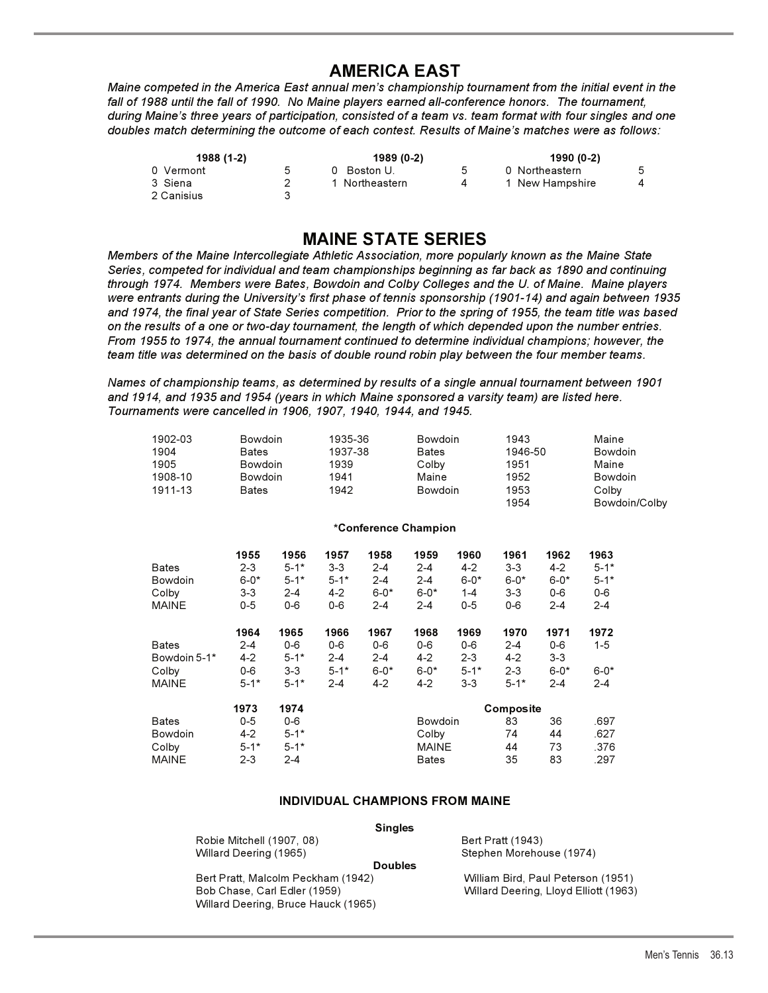# **AMERICA EAST**

**AMERICA EAST** *Maine competed in the America East annual men's championship tournament from the initial event in the fall of 1988 until the fall of 1990. No Maine players earned all-conference honors. The tournament, during Maine's three years of participation, consisted of a team vs. team format with four singles and one doubles match determining the outcome of each contest. Results of Maine's matches were as follows:*

| 1988 (1-2)            |   | 1989 (0-2)     |    | 1990 (0-2)      |   |  |  |
|-----------------------|---|----------------|----|-----------------|---|--|--|
| 0 Vermont             | 5 | 0 Boston U.    | .5 | 0 Northeastern  | 5 |  |  |
| 3 Siena<br>2 Canisius |   | 1 Northeastern |    | 1 New Hampshire |   |  |  |

**MAINE STATE SERIES**  *Members of the Maine Intercollegiate Athletic Association, more popularly known as the Maine State Series, competed for individual and team championships beginning as far back as 1890 and continuing through 1974. Members were Bates, Bowdoin and Colby Colleges and the U. of Maine. Maine players were entrants during the University's first phase of tennis sponsorship (1901-14) and again between 1935 and 1974, the final year of State Series competition. Prior to the spring of 1955, the team title was based on the results of a one or two-day tournament, the length of which depended upon the number entries. From 1955 to 1974, the annual tournament continued to determine individual champions; however, the team title was determined on the basis of double round robin play between the four member teams.*

*Names of championship teams, as determined by results of a single annual tournament between 1901 and 1914, and 1935 and 1954 (years in which Maine sponsored a varsity team) are listed here. Tournaments were cancelled in 1906, 1907, 1940, 1944, and 1945.*

| 1902-03<br>1904<br>1905<br>1908-10<br>1911-13 |          |          | 1939<br>1941<br>1942                                                               |          |                    |          | 1943<br>1951<br>1952<br>1953<br>1954                                                                                    |           | Maine<br><b>Bowdoin</b><br>Maine<br><b>Bowdoin</b><br>Colby<br>Bowdoin/Colby |  |
|-----------------------------------------------|----------|----------|------------------------------------------------------------------------------------|----------|--------------------|----------|-------------------------------------------------------------------------------------------------------------------------|-----------|------------------------------------------------------------------------------|--|
|                                               |          |          |                                                                                    |          |                    |          |                                                                                                                         |           |                                                                              |  |
|                                               | 1955     | 1956     | 1957                                                                               | 1958     | 1959               | 1960     | 1961                                                                                                                    | 1962      | 1963                                                                         |  |
| <b>Bates</b>                                  | $2 - 3$  | $5 - 1*$ | $3 - 3$                                                                            | $2 - 4$  | $2 - 4$            | $4 - 2$  | $3-3$                                                                                                                   | $4 - 2$   | $5 - 1*$                                                                     |  |
| <b>Bowdoin</b>                                | $6 - 0*$ | $5 - 1*$ | $5 - 1*$                                                                           | $2 - 4$  | $2 - 4$            | $6 - 0*$ | $6 - 0*$                                                                                                                | $6 - 0*$  | $5 - 1*$                                                                     |  |
| Colby                                         | $3 - 3$  | $2 - 4$  | $4 - 2$                                                                            | $6 - 0*$ | $6 - 0*$           | $1 - 4$  | $3 - 3$                                                                                                                 | $0 - 6$   | $0-6$                                                                        |  |
| <b>MAINE</b>                                  | $0-5$    | $0-6$    | $0-6$                                                                              | $2 - 4$  | $2 - 4$            | $0 - 5$  | $0-6$                                                                                                                   | $2 - 4$   | $2 - 4$                                                                      |  |
|                                               | 1964     | 1965     | 1966                                                                               | 1967     | 1968               | 1969     | 1970                                                                                                                    | 1971      | 1972                                                                         |  |
| <b>Bates</b>                                  | $2 - 4$  | $0-6$    | $0-6$                                                                              | $0-6$    | $0-6$              | $0-6$    | $2 - 4$                                                                                                                 | $0-6$     | $1 - 5$                                                                      |  |
| Bowdoin 5-1*                                  | $4 - 2$  | $5 - 1*$ | $2 - 4$                                                                            | $2 - 4$  | $4-2$              | $2 - 3$  | $4-2$                                                                                                                   | $3-3$     |                                                                              |  |
| Colby                                         | $0-6$    | $3 - 3$  | $5 - 1*$                                                                           | $6 - 0*$ | $6 - 0*$           | $5 - 1*$ | $2 - 3$                                                                                                                 | $6 - 0^*$ | $6 - 0*$                                                                     |  |
| <b>MAINE</b>                                  | $5 - 1*$ | $5 - 1*$ | $2 - 4$                                                                            | $4 - 2$  | $4 - 2$            | $3 - 3$  | $5 - 1*$                                                                                                                | $2 - 4$   | 2-4                                                                          |  |
|                                               | 1973     | 1974     |                                                                                    |          |                    |          |                                                                                                                         |           |                                                                              |  |
| <b>Bates</b>                                  | $0 - 5$  | $0-6$    |                                                                                    |          |                    |          | 83                                                                                                                      | 36        | .697                                                                         |  |
| Bowdoin                                       | $4-2$    | $5 - 1*$ |                                                                                    |          |                    |          | 74                                                                                                                      | 44        | .627                                                                         |  |
| Colby                                         | $5 - 1*$ | $5 - 1*$ |                                                                                    |          |                    |          | 44                                                                                                                      | 73        | .376                                                                         |  |
| <b>MAINE</b>                                  | $2 - 3$  | $2 - 4$  |                                                                                    |          | <b>Bates</b>       |          | 35                                                                                                                      | 83        | .297                                                                         |  |
|                                               |          |          | <b>Bowdoin</b><br><b>Bates</b><br><b>Bowdoin</b><br><b>Bowdoin</b><br><b>Bates</b> |          | 1935-36<br>1937-38 |          | Bowdoin<br><b>Bates</b><br>Colby<br>Maine<br>Bowdoin<br>*Conference Champion<br><b>Bowdoin</b><br>Colby<br><b>MAINE</b> |           | 1946-50<br>Composite                                                         |  |

# **INDIVIDUAL CHAMPIONS FROM MAINE**

| Robie Mitchell (1907, 08) | Bert Pratt (1943)      |
|---------------------------|------------------------|
| Willard Deering (1965)    | <b>Stephen Morehor</b> |

Stephen Morehouse (1974) **Doubles** 

Bert Pratt, Malcolm Peckham (1942) William Bird, Paul Peterson (1951) Bob Chase, Carl Edler (1959) Willard Deering, Lloyd Elliott (1963) Willard Deering, Bruce Hauck (1965)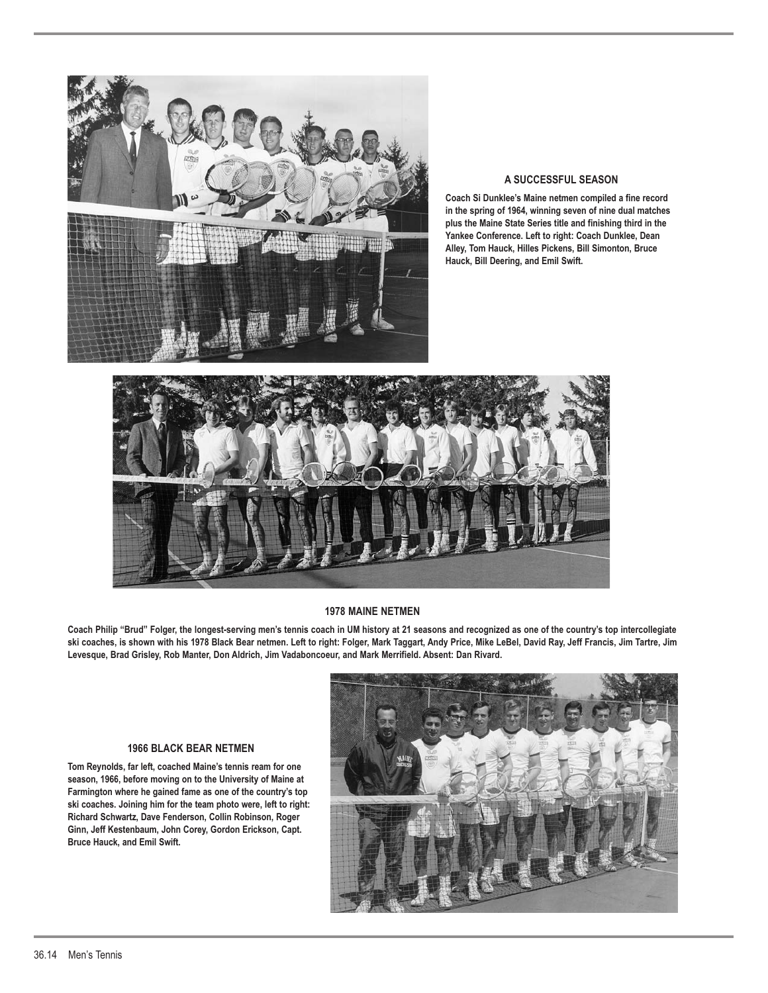

### **A SUCCESSFUL SEASON**

**Coach Si Dunklee's Maine netmen compiled a fine record in the spring of 1964, winning seven of nine dual matches plus the Maine State Series title and finishing third in the Yankee Conference. Left to right: Coach Dunklee, Dean Alley, Tom Hauck, Hilles Pickens, Bill Simonton, Bruce Hauck, Bill Deering, and Emil Swift.**



### **1978 MAINE NETMEN**

**Coach Philip "Brud" Folger, the longest-serving men's tennis coach in UM history at 21 seasons and recognized as one of the country's top intercollegiate ski coaches, is shown with his 1978 Black Bear netmen. Left to right: Folger, Mark Taggart, Andy Price, Mike LeBel, David Ray, Jeff Francis, Jim Tartre, Jim Levesque, Brad Grisley, Rob Manter, Don Aldrich, Jim Vadaboncoeur, and Mark Merrifield. Absent: Dan Rivard.**

### **1966 BLACK BEAR NETMEN**

**Tom Reynolds, far left, coached Maine's tennis ream for one season, 1966, before moving on to the University of Maine at Farmington where he gained fame as one of the country's top ski coaches. Joining him for the team photo were, left to right: Richard Schwartz, Dave Fenderson, Collin Robinson, Roger Ginn, Jeff Kestenbaum, John Corey, Gordon Erickson, Capt. Bruce Hauck, and Emil Swift.**

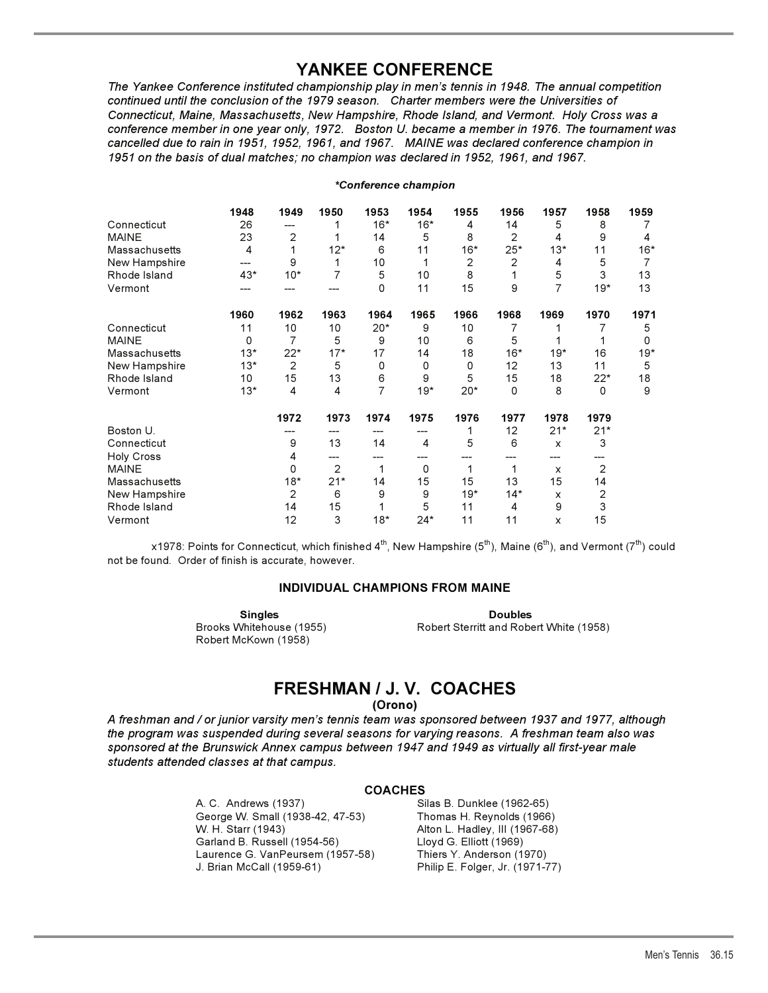## **YANKEE CONFERENCE**

**YANKEE CONFERENCE**  *The Yankee Conference instituted championship play in men's tennis in 1948. The annual competition continued until the conclusion of the 1979 season. Charter members were the Universities of Connecticut, Maine, Massachusetts, New Hampshire, Rhode Island, and Vermont. Holy Cross was a conference member in one year only, 1972. Boston U. became a member in 1976. The tournament was cancelled due to rain in 1951, 1952, 1961, and 1967. MAINE was declared conference champion in 1951 on the basis of dual matches; no champion was declared in 1952, 1961, and 1967.*

### *\*Conference champion*

|                   | 1948  | 1949  | 1950  | 1953  | 1954  | 1955  | 1956  | 1957  | 1958  | 1959  |
|-------------------|-------|-------|-------|-------|-------|-------|-------|-------|-------|-------|
| Connecticut       | 26    | ---   |       | $16*$ | $16*$ | 4     | 14    | 5     | 8     |       |
| <b>MAINE</b>      | 23    | 2     |       | 14    | 5     | 8     | 2     | 4     | 9     | 4     |
| Massachusetts     | 4     |       | $12*$ | 6     | 11    | $16*$ | $25*$ | $13*$ | 11    | $16*$ |
| New Hampshire     | ---   | 9     | 1     | 10    | 1     | 2     | 2     | 4     | 5     | 7     |
| Rhode Island      | $43*$ | $10*$ | 7     | 5     | 10    | 8     |       | 5     | 3     | 13    |
| Vermont           |       |       |       | 0     | 11    | 15    | 9     | 7     | $19*$ | 13    |
|                   | 1960  | 1962  | 1963  | 1964  | 1965  | 1966  | 1968  | 1969  | 1970  | 1971  |
| Connecticut       | 11    | 10    | 10    | $20*$ | 9     | 10    | 7     |       |       | 5     |
| <b>MAINE</b>      | 0     | 7     | 5     | 9     | 10    | 6     | 5     |       |       | 0     |
| Massachusetts     | $13*$ | 22*   | $17*$ | 17    | 14    | 18    | $16*$ | $19*$ | 16    | 19*   |
| New Hampshire     | $13*$ | 2     | 5     | 0     | 0     | 0     | 12    | 13    | 11    | 5     |
| Rhode Island      | 10    | 15    | 13    | 6     | 9     | 5     | 15    | 18    | $22*$ | 18    |
| Vermont           | $13*$ | 4     | 4     | 7     | $19*$ | $20*$ | 0     | 8     | 0     | 9     |
|                   |       | 1972  | 1973  | 1974  | 1975  | 1976  | 1977  | 1978  | 1979  |       |
| Boston U.         |       |       |       |       |       |       | 12    | $21*$ | $21*$ |       |
| Connecticut       |       | 9     | 13    | 14    | 4     | 5     | 6     | X     | 3     |       |
| <b>Holy Cross</b> |       | 4     |       |       |       |       |       |       |       |       |
| <b>MAINE</b>      |       | 0     | 2     | 1     | 0     | 1     | 1     | x     | 2     |       |
| Massachusetts     |       | $18*$ | $21*$ | 14    | 15    | 15    | 13    | 15    | 14    |       |
| New Hampshire     |       | 2     | 6     | 9     | 9     | $19*$ | $14*$ | X     | 2     |       |
| Rhode Island      |       | 14    | 15    |       | 5     | 11    | 4     | 9     | 3     |       |
| Vermont           |       | 12    | 3     | $18*$ | $24*$ | 11    | 11    | x     | 15    |       |

x1978: Points for Connecticut, which finished 4<sup>th</sup>, New Hampshire (5<sup>th</sup>), Maine (6<sup>th</sup>), and Vermont (7<sup>th</sup>) could not be found. Order of finish is accurate, however.

### **INDIVIDUAL CHAMPIONS FROM MAINE INDIVIDUAL CHAMPIONS FROM MAINE**

Robert McKown (1958)

**Singles Doubles**  Brooks Whitehouse (1955) Robert Sterritt and Robert White (1958)

# **FRESHMAN / J. V. COACHES**

**(Orono)** 

*A freshman and / or junior varsity men's tennis team was sponsored between 1937 and 1977, although the program was suspended during several seasons for varying reasons. A freshman team also was sponsored at the Brunswick Annex campus between 1947 and 1949 as virtually all first-year male students attended classes at that campus.*

### **COACHES**

A. C. Andrews (1937) Silas B. Dunklee (1962-65) George W. Small (1938-42, 47-53) Thomas H. Reynolds (1966) W. H. Starr (1943) Alton L. Hadley, III (1967-68) Garland B. Russell (1954-56) Laurence G. VanPeursem (1957-58) Thiers Y. Anderson (1970)

Philip E. Folger, Jr. (1971-77)